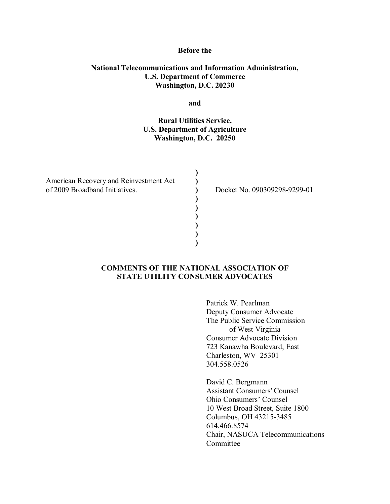#### **Before the**

### **National Telecommunications and Information Administration, U.S. Department of Commerce Washington, D.C. 20230**

**and** 

## **Rural Utilities Service, U.S. Department of Agriculture Washington, D.C. 20250**

**) ) ) ) ) ) ) ) )**

American Recovery and Reinvestment Act of 2009 Broadband Initiatives.

Docket No. 090309298-9299-01

### **COMMENTS OF THE NATIONAL ASSOCIATION OF STATE UTILITY CONSUMER ADVOCATES**

Patrick W. Pearlman Deputy Consumer Advocate The Public Service Commission of West Virginia Consumer Advocate Division 723 Kanawha Boulevard, East Charleston, WV 25301 304.558.0526

David C. Bergmann Assistant Consumers' Counsel Ohio Consumers' Counsel 10 West Broad Street, Suite 1800 Columbus, OH 43215-3485 614.466.8574 Chair, NASUCA Telecommunications Committee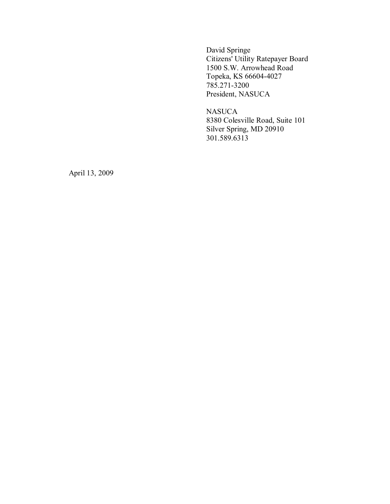David Springe Citizens' Utility Ratepayer Board 1500 S.W. Arrowhead Road Topeka, KS 66604-4027 785.271-3200 President, NASUCA

NASUCA 8380 Colesville Road, Suite 101 Silver Spring, MD 20910 301.589.6313

April 13, 2009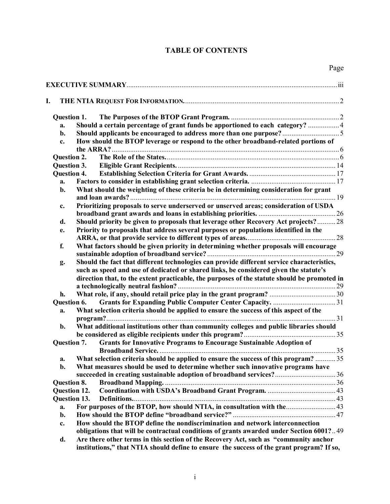## **TABLE OF CONTENTS**

| I.             |                                                                                    |                                                                                                                                                                                   |  |  |  |
|----------------|------------------------------------------------------------------------------------|-----------------------------------------------------------------------------------------------------------------------------------------------------------------------------------|--|--|--|
|                | Question 1.                                                                        |                                                                                                                                                                                   |  |  |  |
| a.             |                                                                                    | Should a certain percentage of grant funds be apportioned to each category?  4                                                                                                    |  |  |  |
| b.             |                                                                                    |                                                                                                                                                                                   |  |  |  |
| c.             | How should the BTOP leverage or respond to the other broadband-related portions of |                                                                                                                                                                                   |  |  |  |
| Question 2.    |                                                                                    |                                                                                                                                                                                   |  |  |  |
| Question 3.    |                                                                                    |                                                                                                                                                                                   |  |  |  |
|                | Question 4.                                                                        |                                                                                                                                                                                   |  |  |  |
| a.             |                                                                                    |                                                                                                                                                                                   |  |  |  |
| b.             |                                                                                    | What should the weighting of these criteria be in determining consideration for grant                                                                                             |  |  |  |
| c.             |                                                                                    | Prioritizing proposals to serve underserved or unserved areas; consideration of USDA                                                                                              |  |  |  |
|                |                                                                                    |                                                                                                                                                                                   |  |  |  |
| d.             |                                                                                    | Should priority be given to proposals that leverage other Recovery Act projects?28                                                                                                |  |  |  |
| e.             |                                                                                    | Priority to proposals that address several purposes or populations identified in the                                                                                              |  |  |  |
|                |                                                                                    |                                                                                                                                                                                   |  |  |  |
| f.             |                                                                                    | What factors should be given priority in determining whether proposals will encourage                                                                                             |  |  |  |
|                |                                                                                    |                                                                                                                                                                                   |  |  |  |
| g.             |                                                                                    | Should the fact that different technologies can provide different service characteristics,                                                                                        |  |  |  |
|                |                                                                                    | such as speed and use of dedicated or shared links, be considered given the statute's                                                                                             |  |  |  |
|                |                                                                                    | direction that, to the extent practicable, the purposes of the statute should be promoted in                                                                                      |  |  |  |
|                |                                                                                    |                                                                                                                                                                                   |  |  |  |
| h.             |                                                                                    |                                                                                                                                                                                   |  |  |  |
|                | Question 6.                                                                        |                                                                                                                                                                                   |  |  |  |
| a.             |                                                                                    | What selection criteria should be applied to ensure the success of this aspect of the                                                                                             |  |  |  |
| b.             |                                                                                    | What additional institutions other than community colleges and public libraries should                                                                                            |  |  |  |
|                |                                                                                    |                                                                                                                                                                                   |  |  |  |
|                | Question 7.                                                                        | <b>Grants for Innovative Programs to Encourage Sustainable Adoption of</b>                                                                                                        |  |  |  |
| a.             |                                                                                    | What selection criteria should be applied to ensure the success of this program?  35                                                                                              |  |  |  |
| $\mathbf{b}$ . |                                                                                    | What measures should be used to determine whether such innovative programs have                                                                                                   |  |  |  |
|                |                                                                                    |                                                                                                                                                                                   |  |  |  |
|                | Question 8.                                                                        |                                                                                                                                                                                   |  |  |  |
|                | <b>Question 12.</b>                                                                |                                                                                                                                                                                   |  |  |  |
|                | <b>Question 13.</b>                                                                |                                                                                                                                                                                   |  |  |  |
| a.             |                                                                                    | For purposes of the BTOP, how should NTIA, in consultation with the 43                                                                                                            |  |  |  |
| b.             |                                                                                    |                                                                                                                                                                                   |  |  |  |
| c.             |                                                                                    | How should the BTOP define the nondiscrimination and network interconnection                                                                                                      |  |  |  |
|                |                                                                                    | obligations that will be contractual conditions of grants awarded under Section 6001?49                                                                                           |  |  |  |
| d.             |                                                                                    | Are there other terms in this section of the Recovery Act, such as "community anchor<br>institutions," that NTIA should define to ensure the success of the grant program? If so, |  |  |  |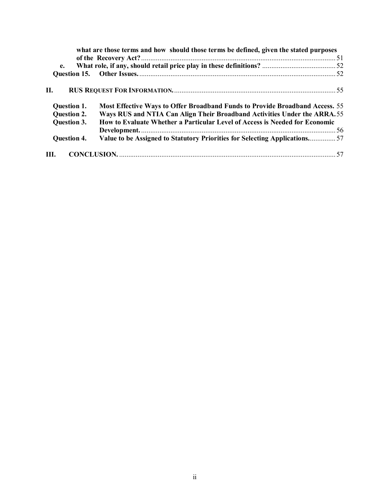|                    | what are those terms and how should those terms be defined, given the stated purposes |  |
|--------------------|---------------------------------------------------------------------------------------|--|
| e.                 |                                                                                       |  |
|                    |                                                                                       |  |
| П.                 |                                                                                       |  |
| Question 1.        | <b>Most Effective Ways to Offer Broadband Funds to Provide Broadband Access.</b> 55   |  |
| <b>Question 2.</b> | Ways RUS and NTIA Can Align Their Broadband Activities Under the ARRA.55              |  |
| <b>Question 3.</b> | How to Evaluate Whether a Particular Level of Access is Needed for Economic           |  |
|                    |                                                                                       |  |
| <b>Question 4.</b> | Value to be Assigned to Statutory Priorities for Selecting Applications57             |  |
| III.               |                                                                                       |  |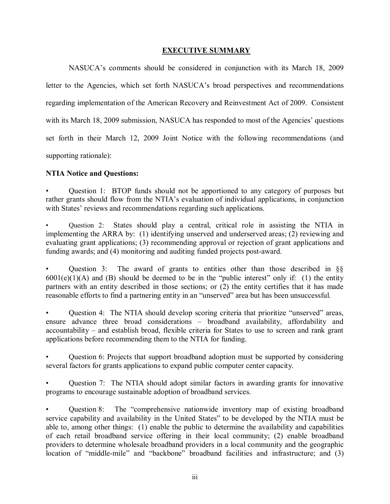### **EXECUTIVE SUMMARY**

NASUCA's comments should be considered in conjunction with its March 18, 2009 letter to the Agencies, which set forth NASUCA's broad perspectives and recommendations regarding implementation of the American Recovery and Reinvestment Act of 2009. Consistent with its March 18, 2009 submission, NASUCA has responded to most of the Agencies' questions set forth in their March 12, 2009 Joint Notice with the following recommendations (and supporting rationale):

## **NTIA Notice and Questions:**

Question 1: BTOP funds should not be apportioned to any category of purposes but rather grants should flow from the NTIA's evaluation of individual applications, in conjunction with States' reviews and recommendations regarding such applications.

Question 2: States should play a central, critical role in assisting the NTIA in implementing the ARRA by: (1) identifying unserved and underserved areas; (2) reviewing and evaluating grant applications; (3) recommending approval or rejection of grant applications and funding awards; and (4) monitoring and auditing funded projects post-award.

Question 3: The award of grants to entities other than those described in  $\S$  $6001(e)(1)(A)$  and (B) should be deemed to be in the "public interest" only if: (1) the entity partners with an entity described in those sections; or (2) the entity certifies that it has made reasonable efforts to find a partnering entity in an "unserved" area but has been unsuccessful.

Question 4: The NTIA should develop scoring criteria that prioritize "unserved" areas, ensure advance three broad considerations – broadband availability, affordability and accountability – and establish broad, flexible criteria for States to use to screen and rank grant applications before recommending them to the NTIA for funding.

Question 6: Projects that support broadband adoption must be supported by considering several factors for grants applications to expand public computer center capacity.

Question 7: The NTIA should adopt similar factors in awarding grants for innovative programs to encourage sustainable adoption of broadband services.

Question 8: The "comprehensive nationwide inventory map of existing broadband service capability and availability in the United States" to be developed by the NTIA must be able to, among other things: (1) enable the public to determine the availability and capabilities of each retail broadband service offering in their local community; (2) enable broadband providers to determine wholesale broadband providers in a local community and the geographic location of "middle-mile" and "backbone" broadband facilities and infrastructure; and (3)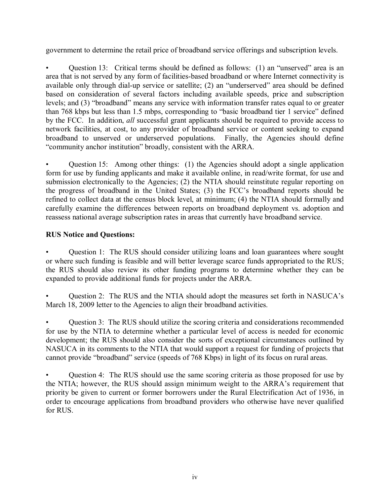government to determine the retail price of broadband service offerings and subscription levels.

Question 13: Critical terms should be defined as follows:  $(1)$  an "unserved" area is an area that is not served by any form of facilities-based broadband or where Internet connectivity is available only through dial-up service or satellite; (2) an "underserved" area should be defined based on consideration of several factors including available speeds, price and subscription levels; and (3) "broadband" means any service with information transfer rates equal to or greater than 768 kbps but less than 1.5 mbps, corresponding to "basic broadband tier 1 service" defined by the FCC. In addition, *all* successful grant applicants should be required to provide access to network facilities, at cost, to any provider of broadband service or content seeking to expand broadband to unserved or underserved populations. Finally, the Agencies should define ìcommunity anchor institutionî broadly, consistent with the ARRA.

Question 15: Among other things: (1) the Agencies should adopt a single application form for use by funding applicants and make it available online, in read/write format, for use and submission electronically to the Agencies; (2) the NTIA should reinstitute regular reporting on the progress of broadband in the United States; (3) the FCC's broadband reports should be refined to collect data at the census block level, at minimum; (4) the NTIA should formally and carefully examine the differences between reports on broadband deployment vs. adoption and reassess national average subscription rates in areas that currently have broadband service.

## **RUS Notice and Questions:**

Question 1: The RUS should consider utilizing loans and loan guarantees where sought or where such funding is feasible and will better leverage scarce funds appropriated to the RUS; the RUS should also review its other funding programs to determine whether they can be expanded to provide additional funds for projects under the ARRA.

Question 2: The RUS and the NTIA should adopt the measures set forth in NASUCA's March 18, 2009 letter to the Agencies to align their broadband activities.

Question 3: The RUS should utilize the scoring criteria and considerations recommended for use by the NTIA to determine whether a particular level of access is needed for economic development; the RUS should also consider the sorts of exceptional circumstances outlined by NASUCA in its comments to the NTIA that would support a request for funding of projects that cannot provide "broadband" service (speeds of 768 Kbps) in light of its focus on rural areas.

Question 4: The RUS should use the same scoring criteria as those proposed for use by the NTIA; however, the RUS should assign minimum weight to the ARRA's requirement that priority be given to current or former borrowers under the Rural Electrification Act of 1936, in order to encourage applications from broadband providers who otherwise have never qualified for RUS.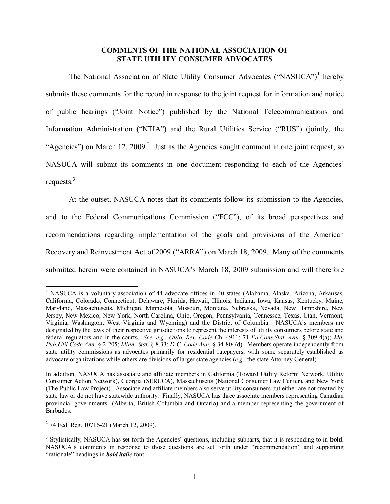#### **COMMENTS OF THE NATIONAL ASSOCIATION OF STATE UTILITY CONSUMER ADVOCATES**

The National Association of State Utility Consumer Advocates ("NASUCA")<sup>1</sup> hereby submits these comments for the record in response to the joint request for information and notice of public hearings ("Joint Notice") published by the National Telecommunications and Information Administration ("NTIA") and the Rural Utilities Service ("RUS") (jointly, the "Agencies") on March 12, 2009.<sup>2</sup> Just as the Agencies sought comment in one joint request, so NASUCA will submit its comments in one document responding to each of the Agencies' requests. $3$ 

At the outset, NASUCA notes that its comments follow its submission to the Agencies, and to the Federal Communications Commission ("FCC"), of its broad perspectives and recommendations regarding implementation of the goals and provisions of the American Recovery and Reinvestment Act of 2009 ("ARRA") on March 18, 2009. Many of the comments submitted herein were contained in NASUCA's March 18, 2009 submission and will therefore

l

<sup>&</sup>lt;sup>1</sup> NASUCA is a voluntary association of 44 advocate offices in 40 states (Alabama, Alaska, Arizona, Arkansas, California, Colorado, Connecticut, Delaware, Florida, Hawaii, Illinois, Indiana, Iowa, Kansas, Kentucky, Maine, Maryland, Massachusetts, Michigan, Minnesota, Missouri, Montana, Nebraska, Nevada, New Hampshire, New Jersey, New Mexico, New York, North Carolina, Ohio, Oregon, Pennsylvania, Tennessee, Texas, Utah, Vermont, Virginia, Washington, West Virginia and Wyoming) and the District of Columbia. NASUCA's members are designated by the laws of their respective jurisdictions to represent the interests of utility consumers before state and federal regulators and in the courts. *See, e.g., Ohio. Rev. Code* Ch. 4911; 71 *Pa.Cons.Stat. Ann*. ß 309-4(a); *Md. Pub.Util.Code Ann*. ß 2-205; *Minn. Stat*. ß 8.33; *D.C. Code Ann*. ß 34-804(d). Members operate independently from state utility commissions as advocates primarily for residential ratepayers, with some separately established as advocate organizations while others are divisions of larger state agencies (*e.g.*, the state Attorney General).

In addition, NASUCA has associate and affiliate members in California (Toward Utility Reform Network, Utility Consumer Action Network), Georgia (SERUCA), Massachusetts (National Consumer Law Center), and New York (The Public Law Project). Associate and affiliate members also serve utility consumers but either are not created by state law or do not have statewide authority. Finally, NASUCA has three associate members representing Canadian provincial governments (Alberta, British Columbia and Ontario) and a member representing the government of Barbados.

<sup>&</sup>lt;sup>2</sup> 74 Fed. Reg. 10716-21 (March 12, 2009).

<sup>&</sup>lt;sup>3</sup> Stylistically, NASUCA has set forth the Agencies' questions, including subparts, that it is responding to in **bold**. NASUCA's comments in response to those questions are set forth under "recommendation" and supporting "rationale" headings in *bold italic* font.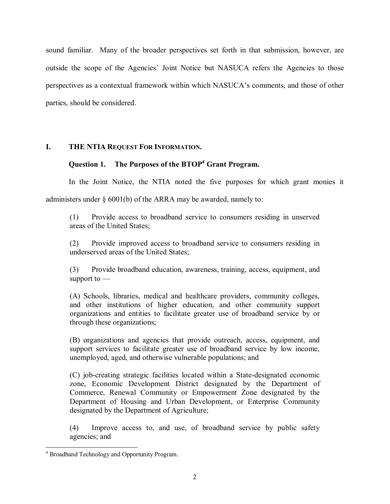sound familiar. Many of the broader perspectives set forth in that submission, however, are outside the scope of the Agencies' Joint Notice but NASUCA refers the Agencies to those perspectives as a contextual framework within which NASUCA's comments, and those of other parties, should be considered.

## **I. THE NTIA REQUEST FOR INFORMATION.**

## Question 1. The Purposes of the BTOP<sup>4</sup> Grant Program.

In the Joint Notice, the NTIA noted the five purposes for which grant monies it

administers under  $\S$  6001(b) of the ARRA may be awarded, namely to:

(1) Provide access to broadband service to consumers residing in unserved areas of the United States;

(2) Provide improved access to broadband service to consumers residing in underserved areas of the United States;

(3) Provide broadband education, awareness, training, access, equipment, and support to  $-$ 

(A) Schools, libraries, medical and healthcare providers, community colleges, and other institutions of higher education, and other community support organizations and entities to facilitate greater use of broadband service by or through these organizations;

(B) organizations and agencies that provide outreach, access, equipment, and support services to facilitate greater use of broadband service by low income, unemployed, aged, and otherwise vulnerable populations; and

(C) job-creating strategic facilities located within a State-designated economic zone, Economic Development District designated by the Department of Commerce, Renewal Community or Empowerment Zone designated by the Department of Housing and Urban Development, or Enterprise Community designated by the Department of Agriculture;

(4) Improve access to, and use, of broadband service by public safety agencies; and

 4 Broadband Technology and Opportunity Program.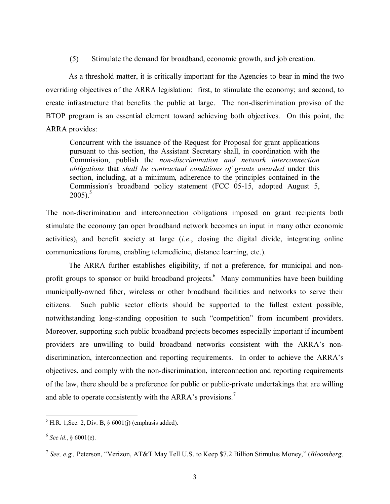(5) Stimulate the demand for broadband, economic growth, and job creation.

As a threshold matter, it is critically important for the Agencies to bear in mind the two overriding objectives of the ARRA legislation: first, to stimulate the economy; and second, to create infrastructure that benefits the public at large. The non-discrimination proviso of the BTOP program is an essential element toward achieving both objectives. On this point, the ARRA provides:

Concurrent with the issuance of the Request for Proposal for grant applications pursuant to this section, the Assistant Secretary shall, in coordination with the Commission, publish the *non-discrimination and network interconnection obligations* that *shall be contractual conditions of grants awarded* under this section, including, at a minimum, adherence to the principles contained in the Commission's broadband policy statement (FCC 05-15, adopted August 5,  $2005$ ).<sup>5</sup>

The non-discrimination and interconnection obligations imposed on grant recipients both stimulate the economy (an open broadband network becomes an input in many other economic activities), and benefit society at large (*i.e*., closing the digital divide, integrating online communications forums, enabling telemedicine, distance learning, etc.).

 The ARRA further establishes eligibility, if not a preference, for municipal and nonprofit groups to sponsor or build broadband projects. Many communities have been building municipally-owned fiber, wireless or other broadband facilities and networks to serve their citizens. Such public sector efforts should be supported to the fullest extent possible, notwithstanding long-standing opposition to such "competition" from incumbent providers. Moreover, supporting such public broadband projects becomes especially important if incumbent providers are unwilling to build broadband networks consistent with the ARRAís nondiscrimination, interconnection and reporting requirements. In order to achieve the ARRA's objectives, and comply with the non-discrimination, interconnection and reporting requirements of the law, there should be a preference for public or public-private undertakings that are willing and able to operate consistently with the ARRA's provisions.<sup>7</sup>

l  $<sup>5</sup>$  H.R. 1, Sec. 2, Div. B,  $\frac{6001(j)}{j}$  (emphasis added).</sup>

 $<sup>6</sup>$  *See id.*,  $§$  6001(e).</sup>

<sup>&</sup>lt;sup>7</sup> *See, e.g., Peterson, "Verizon, AT&T May Tell U.S. to Keep \$7.2 Billion Stimulus Money," (<i>Bloomberg,*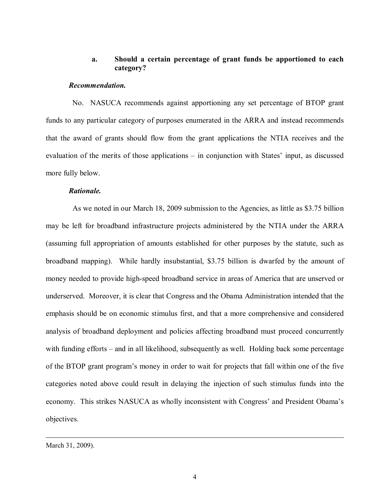## **a. Should a certain percentage of grant funds be apportioned to each category?**

#### *Recommendation.*

 No. NASUCA recommends against apportioning any set percentage of BTOP grant funds to any particular category of purposes enumerated in the ARRA and instead recommends that the award of grants should flow from the grant applications the NTIA receives and the evaluation of the merits of those applications  $-\text{ in conjunction with States' input, as discussed}$ more fully below.

#### *Rationale.*

As we noted in our March 18, 2009 submission to the Agencies, as little as \$3.75 billion may be left for broadband infrastructure projects administered by the NTIA under the ARRA (assuming full appropriation of amounts established for other purposes by the statute, such as broadband mapping). While hardly insubstantial, \$3.75 billion is dwarfed by the amount of money needed to provide high-speed broadband service in areas of America that are unserved or underserved. Moreover, it is clear that Congress and the Obama Administration intended that the emphasis should be on economic stimulus first, and that a more comprehensive and considered analysis of broadband deployment and policies affecting broadband must proceed concurrently with funding efforts – and in all likelihood, subsequently as well. Holding back some percentage of the BTOP grant programís money in order to wait for projects that fall within one of the five categories noted above could result in delaying the injection of such stimulus funds into the economy. This strikes NASUCA as wholly inconsistent with Congress' and President Obama's objectives.

March 31, 2009).

 $\overline{a}$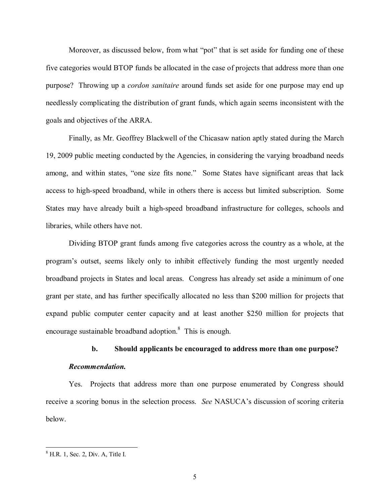Moreover, as discussed below, from what "pot" that is set aside for funding one of these five categories would BTOP funds be allocated in the case of projects that address more than one purpose? Throwing up a *cordon sanitaire* around funds set aside for one purpose may end up needlessly complicating the distribution of grant funds, which again seems inconsistent with the goals and objectives of the ARRA.

Finally, as Mr. Geoffrey Blackwell of the Chicasaw nation aptly stated during the March 19, 2009 public meeting conducted by the Agencies, in considering the varying broadband needs among, and within states, "one size fits none." Some States have significant areas that lack access to high-speed broadband, while in others there is access but limited subscription. Some States may have already built a high-speed broadband infrastructure for colleges, schools and libraries, while others have not.

Dividing BTOP grant funds among five categories across the country as a whole, at the programís outset, seems likely only to inhibit effectively funding the most urgently needed broadband projects in States and local areas. Congress has already set aside a minimum of one grant per state, and has further specifically allocated no less than \$200 million for projects that expand public computer center capacity and at least another \$250 million for projects that encourage sustainable broadband adoption.<sup>8</sup> This is enough.

# **b. Should applicants be encouraged to address more than one purpose?**  *Recommendation.*

Yes. Projects that address more than one purpose enumerated by Congress should receive a scoring bonus in the selection process. *See* NASUCA's discussion of scoring criteria below.

<sup>&</sup>lt;sup>8</sup> H.R. 1, Sec. 2, Div. A, Title I.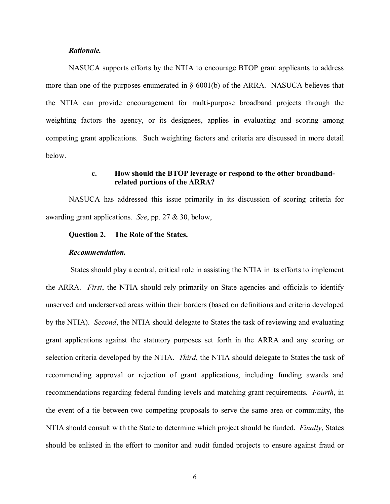#### *Rationale.*

NASUCA supports efforts by the NTIA to encourage BTOP grant applicants to address more than one of the purposes enumerated in  $\S$  6001(b) of the ARRA. NASUCA believes that the NTIA can provide encouragement for multi-purpose broadband projects through the weighting factors the agency, or its designees, applies in evaluating and scoring among competing grant applications. Such weighting factors and criteria are discussed in more detail below.

### **c. How should the BTOP leverage or respond to the other broadband related portions of the ARRA?**

NASUCA has addressed this issue primarily in its discussion of scoring criteria for awarding grant applications. *See*, pp. 27 & 30, below,

### **Question 2. The Role of the States.**

#### *Recommendation.*

States should play a central, critical role in assisting the NTIA in its efforts to implement the ARRA. *First*, the NTIA should rely primarily on State agencies and officials to identify unserved and underserved areas within their borders (based on definitions and criteria developed by the NTIA). *Second*, the NTIA should delegate to States the task of reviewing and evaluating grant applications against the statutory purposes set forth in the ARRA and any scoring or selection criteria developed by the NTIA. *Third*, the NTIA should delegate to States the task of recommending approval or rejection of grant applications, including funding awards and recommendations regarding federal funding levels and matching grant requirements. *Fourth*, in the event of a tie between two competing proposals to serve the same area or community, the NTIA should consult with the State to determine which project should be funded. *Finally*, States should be enlisted in the effort to monitor and audit funded projects to ensure against fraud or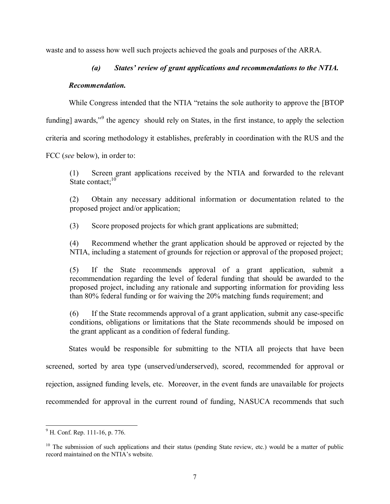waste and to assess how well such projects achieved the goals and purposes of the ARRA.

## (a) States' review of grant applications and recommendations to the NTIA.

## *Recommendation.*

While Congress intended that the NTIA "retains the sole authority to approve the [BTOP]

funding] awards,"<sup>9</sup> the agency should rely on States, in the first instance, to apply the selection

criteria and scoring methodology it establishes, preferably in coordination with the RUS and the

FCC (*see* below), in order to:

(1) Screen grant applications received by the NTIA and forwarded to the relevant State contact:<sup>10</sup>

(2) Obtain any necessary additional information or documentation related to the proposed project and/or application;

(3) Score proposed projects for which grant applications are submitted;

(4) Recommend whether the grant application should be approved or rejected by the NTIA, including a statement of grounds for rejection or approval of the proposed project;

(5) If the State recommends approval of a grant application, submit a recommendation regarding the level of federal funding that should be awarded to the proposed project, including any rationale and supporting information for providing less than 80% federal funding or for waiving the 20% matching funds requirement; and

(6) If the State recommends approval of a grant application, submit any case-specific conditions, obligations or limitations that the State recommends should be imposed on the grant applicant as a condition of federal funding.

States would be responsible for submitting to the NTIA all projects that have been

screened, sorted by area type (unserved/underserved), scored, recommended for approval or

rejection, assigned funding levels, etc. Moreover, in the event funds are unavailable for projects

recommended for approval in the current round of funding, NASUCA recommends that such

<sup>&</sup>lt;sup>9</sup> H. Conf. Rep. 111-16, p. 776.

 $10$  The submission of such applications and their status (pending State review, etc.) would be a matter of public record maintained on the NTIA's website.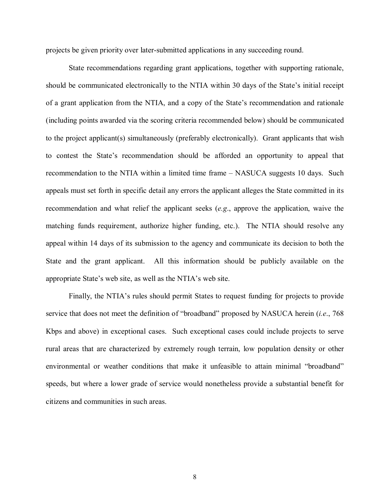projects be given priority over later-submitted applications in any succeeding round.

State recommendations regarding grant applications, together with supporting rationale, should be communicated electronically to the NTIA within 30 days of the State's initial receipt of a grant application from the NTIA, and a copy of the State's recommendation and rationale (including points awarded via the scoring criteria recommended below) should be communicated to the project applicant(s) simultaneously (preferably electronically). Grant applicants that wish to contest the State's recommendation should be afforded an opportunity to appeal that recommendation to the NTIA within a limited time frame  $-$  NASUCA suggests 10 days. Such appeals must set forth in specific detail any errors the applicant alleges the State committed in its recommendation and what relief the applicant seeks (*e.g*., approve the application, waive the matching funds requirement, authorize higher funding, etc.). The NTIA should resolve any appeal within 14 days of its submission to the agency and communicate its decision to both the State and the grant applicant. All this information should be publicly available on the appropriate State's web site, as well as the NTIA's web site.

Finally, the NTIA's rules should permit States to request funding for projects to provide service that does not meet the definition of "broadband" proposed by NASUCA herein (*i.e.*, 768) Kbps and above) in exceptional cases. Such exceptional cases could include projects to serve rural areas that are characterized by extremely rough terrain, low population density or other environmental or weather conditions that make it unfeasible to attain minimal "broadband" speeds, but where a lower grade of service would nonetheless provide a substantial benefit for citizens and communities in such areas.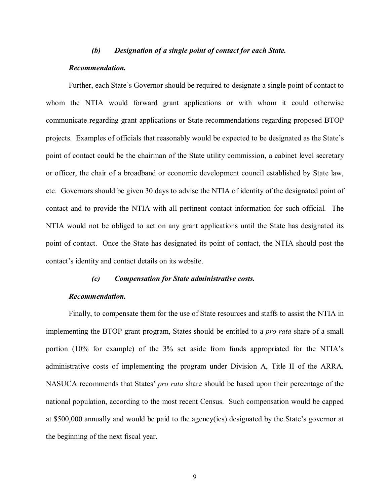#### *(b) Designation of a single point of contact for each State.*

#### *Recommendation.*

Further, each State's Governor should be required to designate a single point of contact to whom the NTIA would forward grant applications or with whom it could otherwise communicate regarding grant applications or State recommendations regarding proposed BTOP projects. Examples of officials that reasonably would be expected to be designated as the State's point of contact could be the chairman of the State utility commission, a cabinet level secretary or officer, the chair of a broadband or economic development council established by State law, etc. Governors should be given 30 days to advise the NTIA of identity of the designated point of contact and to provide the NTIA with all pertinent contact information for such official. The NTIA would not be obliged to act on any grant applications until the State has designated its point of contact. Once the State has designated its point of contact, the NTIA should post the contact's identity and contact details on its website.

#### *(c) Compensation for State administrative costs.*

#### *Recommendation.*

Finally, to compensate them for the use of State resources and staffs to assist the NTIA in implementing the BTOP grant program, States should be entitled to a *pro rata* share of a small portion (10% for example) of the 3% set aside from funds appropriated for the NTIA's administrative costs of implementing the program under Division A, Title II of the ARRA. NASUCA recommends that States' *pro rata* share should be based upon their percentage of the national population, according to the most recent Census. Such compensation would be capped at  $$500,000$  annually and would be paid to the agency(ies) designated by the State's governor at the beginning of the next fiscal year.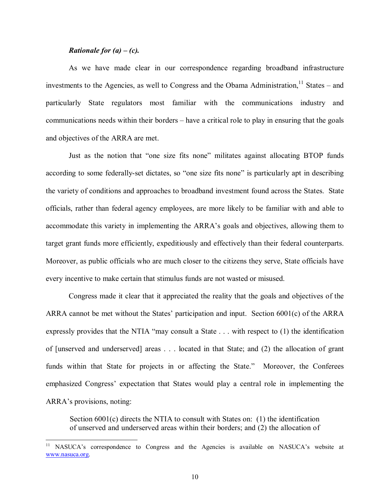#### *Rationale for (a) – (c).*

l

As we have made clear in our correspondence regarding broadband infrastructure investments to the Agencies, as well to Congress and the Obama Administration,  $11$  States – and particularly State regulators most familiar with the communications industry and communications needs within their borders – have a critical role to play in ensuring that the goals and objectives of the ARRA are met.

Just as the notion that "one size fits none" militates against allocating BTOP funds according to some federally-set dictates, so "one size fits none" is particularly apt in describing the variety of conditions and approaches to broadband investment found across the States. State officials, rather than federal agency employees, are more likely to be familiar with and able to accommodate this variety in implementing the ARRA's goals and objectives, allowing them to target grant funds more efficiently, expeditiously and effectively than their federal counterparts. Moreover, as public officials who are much closer to the citizens they serve, State officials have every incentive to make certain that stimulus funds are not wasted or misused.

Congress made it clear that it appreciated the reality that the goals and objectives of the ARRA cannot be met without the States' participation and input. Section  $6001(c)$  of the ARRA expressly provides that the NTIA "may consult a State  $\dots$  with respect to (1) the identification of [unserved and underserved] areas . . . located in that State; and (2) the allocation of grant funds within that State for projects in or affecting the State." Moreover, the Conferees emphasized Congress' expectation that States would play a central role in implementing the ARRA's provisions, noting:

Section 6001(c) directs the NTIA to consult with States on: (1) the identification of unserved and underserved areas within their borders; and (2) the allocation of

<sup>11</sup> NASUCAís correspondence to Congress and the Agencies is available on NASUCAís website at www.nasuca.org.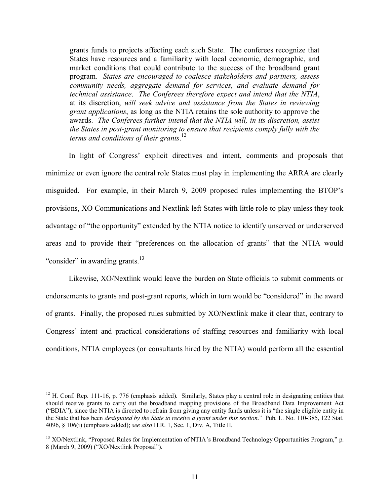grants funds to projects affecting each such State. The conferees recognize that States have resources and a familiarity with local economic, demographic, and market conditions that could contribute to the success of the broadband grant program. *States are encouraged to coalesce stakeholders and partners, assess community needs, aggregate demand for services, and evaluate demand for technical assistance*. *The Conferees therefore expect and intend that the NTIA*, at its discretion, *will seek advice and assistance from the States in reviewing grant applications*, as long as the NTIA retains the sole authority to approve the awards. *The Conferees further intend that the NTIA will, in its discretion, assist the States in post-grant monitoring to ensure that recipients comply fully with the terms and conditions of their grants*. 12

In light of Congress' explicit directives and intent, comments and proposals that minimize or even ignore the central role States must play in implementing the ARRA are clearly misguided. For example, in their March 9, 2009 proposed rules implementing the BTOP's provisions, XO Communications and Nextlink left States with little role to play unless they took advantage of "the opportunity" extended by the NTIA notice to identify unserved or underserved areas and to provide their "preferences on the allocation of grants" that the NTIA would "consider" in awarding grants. $13$ 

Likewise, XO/Nextlink would leave the burden on State officials to submit comments or endorsements to grants and post-grant reports, which in turn would be "considered" in the award of grants. Finally, the proposed rules submitted by XO/Nextlink make it clear that, contrary to Congress' intent and practical considerations of staffing resources and familiarity with local conditions, NTIA employees (or consultants hired by the NTIA) would perform all the essential

 $\overline{a}$ 

 $12$  H. Conf. Rep. 111-16, p. 776 (emphasis added). Similarly, States play a central role in designating entities that should receive grants to carry out the broadband mapping provisions of the Broadband Data Improvement Act ("BDIA"), since the NTIA is directed to refrain from giving any entity funds unless it is "the single eligible entity in the State that has been *designated by the State to receive a grant under this section*.î Pub. L. No. 110-385, 122 Stat. 4096, ß 106(i) (emphasis added); *see also* H.R. 1, Sec. 1, Div. A, Title II.

 $13$  XO/Nextlink, "Proposed Rules for Implementation of NTIA's Broadband Technology Opportunities Program," p. 8 (March 9, 2009) ("XO/Nextlink Proposal").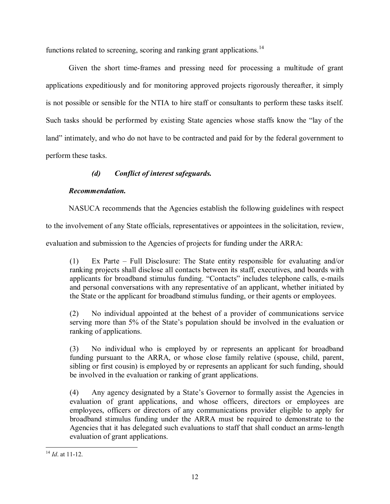functions related to screening, scoring and ranking grant applications.<sup>14</sup>

Given the short time-frames and pressing need for processing a multitude of grant applications expeditiously and for monitoring approved projects rigorously thereafter, it simply is not possible or sensible for the NTIA to hire staff or consultants to perform these tasks itself. Such tasks should be performed by existing State agencies whose staffs know the "lay of the land" intimately, and who do not have to be contracted and paid for by the federal government to perform these tasks.

## *(d) Conflict of interest safeguards.*

## *Recommendation.*

NASUCA recommends that the Agencies establish the following guidelines with respect

to the involvement of any State officials, representatives or appointees in the solicitation, review,

evaluation and submission to the Agencies of projects for funding under the ARRA:

(1) Ex Parte – Full Disclosure: The State entity responsible for evaluating and/or ranking projects shall disclose all contacts between its staff, executives, and boards with applicants for broadband stimulus funding. "Contacts" includes telephone calls, e-mails and personal conversations with any representative of an applicant, whether initiated by the State or the applicant for broadband stimulus funding, or their agents or employees.

(2) No individual appointed at the behest of a provider of communications service serving more than 5% of the State's population should be involved in the evaluation or ranking of applications.

(3) No individual who is employed by or represents an applicant for broadband funding pursuant to the ARRA, or whose close family relative (spouse, child, parent, sibling or first cousin) is employed by or represents an applicant for such funding, should be involved in the evaluation or ranking of grant applications.

(4) Any agency designated by a State's Governor to formally assist the Agencies in evaluation of grant applications, and whose officers, directors or employees are employees, officers or directors of any communications provider eligible to apply for broadband stimulus funding under the ARRA must be required to demonstrate to the Agencies that it has delegated such evaluations to staff that shall conduct an arms-length evaluation of grant applications.

 $\overline{\phantom{a}}$ <sup>14</sup> *Id*. at 11-12.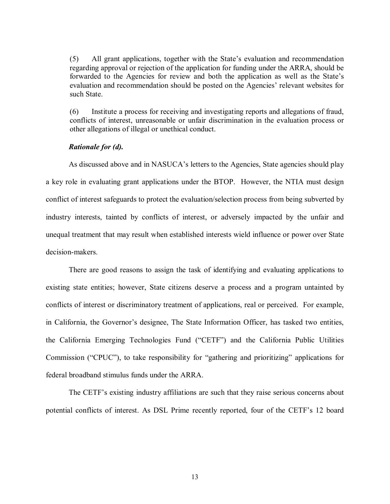(5) All grant applications, together with the State's evaluation and recommendation regarding approval or rejection of the application for funding under the ARRA, should be forwarded to the Agencies for review and both the application as well as the State's evaluation and recommendation should be posted on the Agencies' relevant websites for such State.

(6) Institute a process for receiving and investigating reports and allegations of fraud, conflicts of interest, unreasonable or unfair discrimination in the evaluation process or other allegations of illegal or unethical conduct.

#### *Rationale for (d).*

As discussed above and in NASUCA's letters to the Agencies, State agencies should play a key role in evaluating grant applications under the BTOP. However, the NTIA must design conflict of interest safeguards to protect the evaluation/selection process from being subverted by industry interests, tainted by conflicts of interest, or adversely impacted by the unfair and unequal treatment that may result when established interests wield influence or power over State decision-makers.

There are good reasons to assign the task of identifying and evaluating applications to existing state entities; however, State citizens deserve a process and a program untainted by conflicts of interest or discriminatory treatment of applications, real or perceived. For example, in California, the Governor's designee, The State Information Officer, has tasked two entities, the California Emerging Technologies Fund ("CETF") and the California Public Utilities Commission ("CPUC"), to take responsibility for "gathering and prioritizing" applications for federal broadband stimulus funds under the ARRA.

The CETF's existing industry affiliations are such that they raise serious concerns about potential conflicts of interest. As DSL Prime recently reported, four of the CETF's 12 board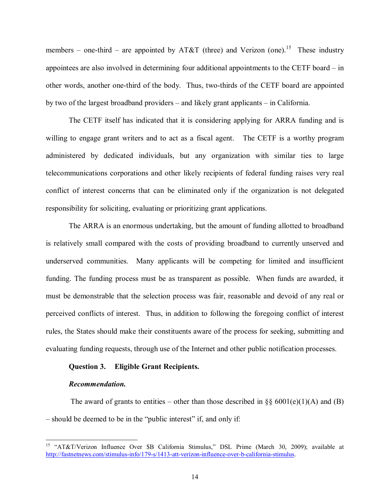members – one-third – are appointed by AT&T (three) and Verizon (one).<sup>15</sup> These industry appointees are also involved in determining four additional appointments to the CETF board  $\overline{\phantom{a}}$  in other words, another one-third of the body. Thus, two-thirds of the CETF board are appointed by two of the largest broadband providers  $-$  and likely grant applicants  $-$  in California.

The CETF itself has indicated that it is considering applying for ARRA funding and is willing to engage grant writers and to act as a fiscal agent. The CETF is a worthy program administered by dedicated individuals, but any organization with similar ties to large telecommunications corporations and other likely recipients of federal funding raises very real conflict of interest concerns that can be eliminated only if the organization is not delegated responsibility for soliciting, evaluating or prioritizing grant applications.

The ARRA is an enormous undertaking, but the amount of funding allotted to broadband is relatively small compared with the costs of providing broadband to currently unserved and underserved communities. Many applicants will be competing for limited and insufficient funding. The funding process must be as transparent as possible. When funds are awarded, it must be demonstrable that the selection process was fair, reasonable and devoid of any real or perceived conflicts of interest. Thus, in addition to following the foregoing conflict of interest rules, the States should make their constituents aware of the process for seeking, submitting and evaluating funding requests, through use of the Internet and other public notification processes.

### **Question 3. Eligible Grant Recipients.**

#### *Recommendation.*

l

The award of grants to entities – other than those described in §§ 6001(e)(1)(A) and (B) – should be deemed to be in the "public interest" if, and only if:

<sup>&</sup>lt;sup>15</sup> "AT&T/Verizon Influence Over \$B California Stimulus," DSL Prime (March 30, 2009); available at http://fastnetnews.com/stimulus-info/179-s/1413-att-verizon-influence-over-b-california-stimulus.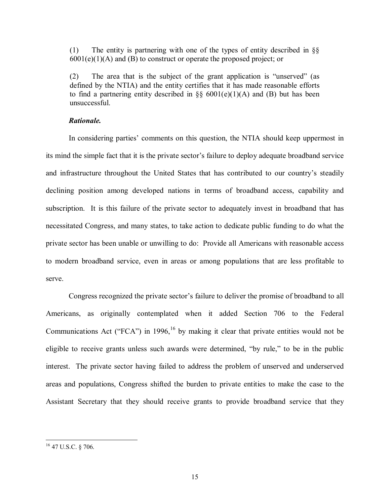(1) The entity is partnering with one of the types of entity described in ßß  $6001(e)(1)(A)$  and (B) to construct or operate the proposed project; or

(2) The area that is the subject of the grant application is "unserved" (as defined by the NTIA) and the entity certifies that it has made reasonable efforts to find a partnering entity described in  $\S$ § 6001(e)(1)(A) and (B) but has been unsuccessful.

#### *Rationale.*

In considering parties' comments on this question, the NTIA should keep uppermost in its mind the simple fact that it is the private sector's failure to deploy adequate broadband service and infrastructure throughout the United States that has contributed to our country's steadily declining position among developed nations in terms of broadband access, capability and subscription. It is this failure of the private sector to adequately invest in broadband that has necessitated Congress, and many states, to take action to dedicate public funding to do what the private sector has been unable or unwilling to do: Provide all Americans with reasonable access to modern broadband service, even in areas or among populations that are less profitable to serve.

Congress recognized the private sector's failure to deliver the promise of broadband to all Americans, as originally contemplated when it added Section 706 to the Federal Communications Act ( $FCA$ <sup>n</sup>) in 1996,<sup>16</sup> by making it clear that private entities would not be eligible to receive grants unless such awards were determined, "by rule," to be in the public interest. The private sector having failed to address the problem of unserved and underserved areas and populations, Congress shifted the burden to private entities to make the case to the Assistant Secretary that they should receive grants to provide broadband service that they

l

 $16$  47 U.S.C. § 706.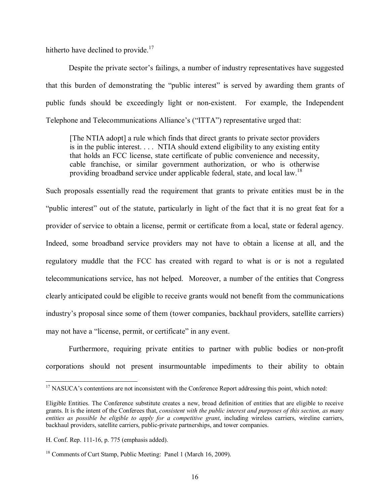hitherto have declined to provide.<sup>17</sup>

Despite the private sector's failings, a number of industry representatives have suggested that this burden of demonstrating the "public interest" is served by awarding them grants of public funds should be exceedingly light or non-existent. For example, the Independent Telephone and Telecommunications Alliance's ("ITTA") representative urged that:

[The NTIA adopt] a rule which finds that direct grants to private sector providers is in the public interest. . . . NTIA should extend eligibility to any existing entity that holds an FCC license, state certificate of public convenience and necessity, cable franchise, or similar government authorization, or who is otherwise providing broadband service under applicable federal, state, and local law.<sup>18</sup>

Such proposals essentially read the requirement that grants to private entities must be in the "public interest" out of the statute, particularly in light of the fact that it is no great feat for a provider of service to obtain a license, permit or certificate from a local, state or federal agency. Indeed, some broadband service providers may not have to obtain a license at all, and the regulatory muddle that the FCC has created with regard to what is or is not a regulated telecommunications service, has not helped. Moreover, a number of the entities that Congress clearly anticipated could be eligible to receive grants would not benefit from the communications industry's proposal since some of them (tower companies, backhaul providers, satellite carriers) may not have a "license, permit, or certificate" in any event.

Furthermore, requiring private entities to partner with public bodies or non-profit corporations should not present insurmountable impediments to their ability to obtain

l

<sup>&</sup>lt;sup>17</sup> NASUCA's contentions are not inconsistent with the Conference Report addressing this point, which noted:

Eligible Entities. The Conference substitute creates a new, broad definition of entities that are eligible to receive grants. It is the intent of the Conferees that, *consistent with the public interest and purposes of this section, as many entities as possible be eligible to apply for a competitive grant*, including wireless carriers, wireline carriers, backhaul providers, satellite carriers, public-private partnerships, and tower companies.

H. Conf. Rep. 111-16, p. 775 (emphasis added).

<sup>&</sup>lt;sup>18</sup> Comments of Curt Stamp, Public Meeting: Panel 1 (March 16, 2009).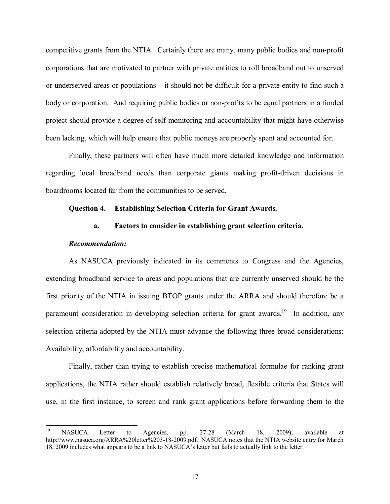competitive grants from the NTIA. Certainly there are many, many public bodies and non-profit corporations that are motivated to partner with private entities to roll broadband out to unserved or underserved areas or populations  $-$  it should not be difficult for a private entity to find such a body or corporation. And requiring public bodies or non-profits to be equal partners in a funded project should provide a degree of self-monitoring and accountability that might have otherwise been lacking, which will help ensure that public moneys are properly spent and accounted for.

Finally, these partners will often have much more detailed knowledge and information regarding local broadband needs than corporate giants making profit-driven decisions in boardrooms located far from the communities to be served.

#### **Question 4. Establishing Selection Criteria for Grant Awards.**

#### **a. Factors to consider in establishing grant selection criteria.**

#### *Recommendation:*

As NASUCA previously indicated in its comments to Congress and the Agencies, extending broadband service to areas and populations that are currently unserved should be the first priority of the NTIA in issuing BTOP grants under the ARRA and should therefore be a paramount consideration in developing selection criteria for grant awards.<sup>19</sup> In addition, any selection criteria adopted by the NTIA must advance the following three broad considerations: Availability, affordability and accountability.

Finally, rather than trying to establish precise mathematical formulae for ranking grant applications, the NTIA rather should establish relatively broad, flexible criteria that States will use, in the first instance, to screen and rank grant applications before forwarding them to the

<sup>19</sup> <sup>19</sup> NASUCA Letter to Agencies, pp. 27-28 (March 18, 2009); available at http://www.nasuca.org/ARRA%20letter%203-18-2009.pdf. NASUCA notes that the NTIA website entry for March 18, 2009 includes what appears to be a link to NASUCA's letter but fails to actually link to the letter.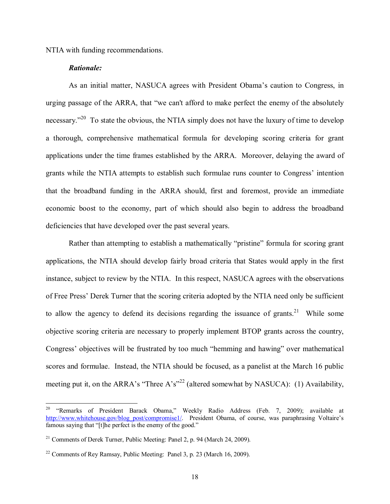NTIA with funding recommendations.

#### *Rationale:*

l

As an initial matter, NASUCA agrees with President Obama's caution to Congress, in urging passage of the ARRA, that "we can't afford to make perfect the enemy of the absolutely necessary.<sup> $20$ </sup> To state the obvious, the NTIA simply does not have the luxury of time to develop a thorough, comprehensive mathematical formula for developing scoring criteria for grant applications under the time frames established by the ARRA. Moreover, delaying the award of grants while the NTIA attempts to establish such formulae runs counter to Congress' intention that the broadband funding in the ARRA should, first and foremost, provide an immediate economic boost to the economy, part of which should also begin to address the broadband deficiencies that have developed over the past several years.

Rather than attempting to establish a mathematically "pristine" formula for scoring grant applications, the NTIA should develop fairly broad criteria that States would apply in the first instance, subject to review by the NTIA. In this respect, NASUCA agrees with the observations of Free Pressí Derek Turner that the scoring criteria adopted by the NTIA need only be sufficient to allow the agency to defend its decisions regarding the issuance of grants.<sup>21</sup> While some objective scoring criteria are necessary to properly implement BTOP grants across the country, Congress' objectives will be frustrated by too much "hemming and hawing" over mathematical scores and formulae. Instead, the NTIA should be focused, as a panelist at the March 16 public meeting put it, on the ARRA's "Three A's"<sup>22</sup> (altered somewhat by NASUCA): (1) Availability,

<sup>&</sup>lt;sup>20</sup> "Remarks of President Barack Obama," Weekly Radio Address (Feb. 7, 2009); available at http://www.whitehouse.gov/blog\_post/compromise1/. President Obama, of course, was paraphrasing Voltaire's famous saying that " $[t]$ he perfect is the enemy of the good."

 $21$  Comments of Derek Turner, Public Meeting: Panel 2, p. 94 (March 24, 2009).

<sup>&</sup>lt;sup>22</sup> Comments of Rey Ramsay, Public Meeting: Panel 3, p. 23 (March 16, 2009).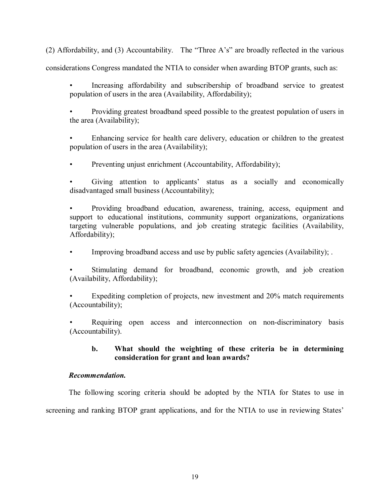(2) Affordability, and (3) Accountability. The "Three A's" are broadly reflected in the various

considerations Congress mandated the NTIA to consider when awarding BTOP grants, such as:

Increasing affordability and subscribership of broadband service to greatest population of users in the area (Availability, Affordability);

• Providing greatest broadband speed possible to the greatest population of users in the area (Availability);

Enhancing service for health care delivery, education or children to the greatest population of users in the area (Availability);

Preventing unjust enrichment (Accountability, Affordability);

Giving attention to applicants' status as a socially and economically disadvantaged small business (Accountability);

Providing broadband education, awareness, training, access, equipment and support to educational institutions, community support organizations, organizations targeting vulnerable populations, and job creating strategic facilities (Availability, Affordability);

Improving broadband access and use by public safety agencies (Availability); .

Stimulating demand for broadband, economic growth, and job creation (Availability, Affordability);

Expediting completion of projects, new investment and 20% match requirements (Accountability);

Requiring open access and interconnection on non-discriminatory basis (Accountability).

## **b. What should the weighting of these criteria be in determining consideration for grant and loan awards?**

### *Recommendation.*

The following scoring criteria should be adopted by the NTIA for States to use in screening and ranking BTOP grant applications, and for the NTIA to use in reviewing States'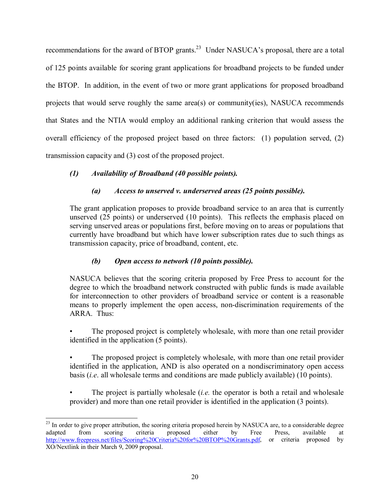recommendations for the award of BTOP grants.<sup>23</sup> Under NASUCA's proposal, there are a total of 125 points available for scoring grant applications for broadband projects to be funded under the BTOP. In addition, in the event of two or more grant applications for proposed broadband projects that would serve roughly the same area(s) or community(ies), NASUCA recommends that States and the NTIA would employ an additional ranking criterion that would assess the overall efficiency of the proposed project based on three factors: (1) population served, (2) transmission capacity and (3) cost of the proposed project.

## *(1) Availability of Broadband (40 possible points).*

## *(a) Access to unserved v. underserved areas (25 points possible).*

The grant application proposes to provide broadband service to an area that is currently unserved (25 points) or underserved (10 points). This reflects the emphasis placed on serving unserved areas or populations first, before moving on to areas or populations that currently have broadband but which have lower subscription rates due to such things as transmission capacity, price of broadband, content, etc.

## *(b) Open access to network (10 points possible).*

NASUCA believes that the scoring criteria proposed by Free Press to account for the degree to which the broadband network constructed with public funds is made available for interconnection to other providers of broadband service or content is a reasonable means to properly implement the open access, non-discrimination requirements of the ARRA. Thus:

The proposed project is completely wholesale, with more than one retail provider identified in the application (5 points).

The proposed project is completely wholesale, with more than one retail provider identified in the application, AND is also operated on a nondiscriminatory open access basis (*i.e*. all wholesale terms and conditions are made publicly available) (10 points).

The project is partially wholesale *(<i>i.e.* the operator is both a retail and wholesale provider) and more than one retail provider is identified in the application (3 points).

 $\overline{a}$ 

 $^{23}$  In order to give proper attribution, the scoring criteria proposed herein by NASUCA are, to a considerable degree adapted from scoring criteria proposed either by Free Press, available at http://www.freepress.net/files/Scoring%20Criteria%20for%20BTOP%20Grants.pdf, or criteria proposed by XO/Nextlink in their March 9, 2009 proposal.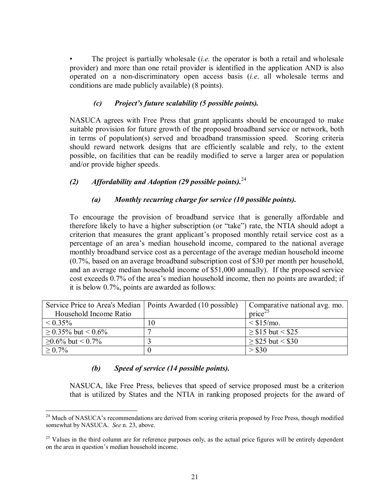The project is partially wholesale *(i.e.* the operator is both a retail and wholesale provider) and more than one retail provider is identified in the application AND is also operated on a non-discriminatory open access basis (*i.e*. all wholesale terms and conditions are made publicly available) (8 points).

## *(c) Projectís future scalability (5 possible points).*

NASUCA agrees with Free Press that grant applicants should be encouraged to make suitable provision for future growth of the proposed broadband service or network, both in terms of population(s) served and broadband transmission speed. Scoring criteria should reward network designs that are efficiently scalable and rely, to the extent possible, on facilities that can be readily modified to serve a larger area or population and/or provide higher speeds.

## *(2) Affordability and Adoption (29 possible points).*<sup>24</sup>

## *(a) Monthly recurring charge for service (10 possible points).*

To encourage the provision of broadband service that is generally affordable and therefore likely to have a higher subscription (or "take") rate, the NTIA should adopt a criterion that measures the grant applicant's proposed monthly retail service cost as a percentage of an areaís median household income, compared to the national average monthly broadband service cost as a percentage of the average median household income (0.7%, based on an average broadband subscription cost of \$30 per month per household, and an average median household income of \$51,000 annually). If the proposed service cost exceeds 0.7% of the areaís median household income, then no points are awarded; if it is below 0.7%, points are awarded as follows:

| Service Price to Area's Median   Points Awarded (10 possible) |    | Comparative national avg. mo. |
|---------------------------------------------------------------|----|-------------------------------|
| Household Income Ratio                                        |    | $price^{25}$                  |
| $\leq 0.35\%$                                                 | 10 | $\leq$ \$15/mo.               |
| $\geq$ 0.35% but < 0.6%                                       |    | $\ge$ \$15 but < \$25         |
| $\geq$ 0.6% but < 0.7%                                        |    | $\ge$ \$25 but < \$30         |
| $> 0.7\%$                                                     |    | > \$30                        |

## *(b) Speed of service (14 possible points).*

 $\overline{a}$ 

NASUCA, like Free Press, believes that speed of service proposed must be a criterion that is utilized by States and the NTIA in ranking proposed projects for the award of

<sup>&</sup>lt;sup>24</sup> Much of NASUCA's recommendations are derived from scoring criteria proposed by Free Press, though modified somewhat by NASUCA. *See* n. 23, above.

 $25$  Values in the third column are for reference purposes only, as the actual price figures will be entirely dependent on the area in question's median household income.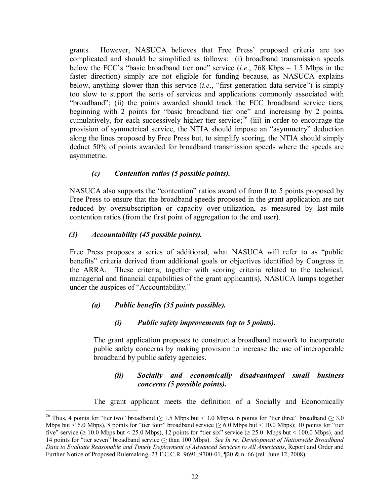grants. However, NASUCA believes that Free Pressí proposed criteria are too complicated and should be simplified as follows: (i) broadband transmission speeds below the FCC's "basic broadband tier one" service  $(i.e., 768$  Kbps  $- 1.5$  Mbps in the faster direction) simply are not eligible for funding because, as NASUCA explains below, anything slower than this service  $(i.e.,$  "first generation data service") is simply too slow to support the sorts of services and applications commonly associated with "broadband"; (ii) the points awarded should track the FCC broadband service tiers, beginning with 2 points for "basic broadband tier one" and increasing by 2 points, cumulatively, for each successively higher tier service;<sup>26</sup> (iii) in order to encourage the provision of symmetrical service, the NTIA should impose an "asymmetry" deduction along the lines proposed by Free Press but, to simplify scoring, the NTIA should simply deduct 50% of points awarded for broadband transmission speeds where the speeds are asymmetric.

## *(c) Contention ratios (5 possible points).*

NASUCA also supports the "contention" ratios award of from 0 to 5 points proposed by Free Press to ensure that the broadband speeds proposed in the grant application are not reduced by oversubscription or capacity over-utilization, as measured by last-mile contention ratios (from the first point of aggregation to the end user).

## *(3) Accountability (45 possible points).*

 $\overline{a}$ 

Free Press proposes a series of additional, what NASUCA will refer to as "public benefits" criteria derived from additional goals or objectives identified by Congress in the ARRA. These criteria, together with scoring criteria related to the technical, managerial and financial capabilities of the grant applicant(s), NASUCA lumps together under the auspices of "Accountability."

## *(a) Public benefits (35 points possible).*

## *(i) Public safety improvements (up to 5 points).*

The grant application proposes to construct a broadband network to incorporate public safety concerns by making provision to increase the use of interoperable broadband by public safety agencies.

## *(ii) Socially and economically disadvantaged small business concerns (5 possible points).*

The grant applicant meets the definition of a Socially and Economically

<sup>&</sup>lt;sup>26</sup> Thus, 4 points for "tier two" broadband ( $\geq 1.5$  Mbps but < 3.0 Mbps), 6 points for "tier three" broadband ( $\geq 3.0$ Mbps but < 6.0 Mbps), 8 points for "tier four" broadband service ( $\geq 6.0$  Mbps but < 10.0 Mbps); 10 points for "tier five" service ( $\geq 10.0$  Mbps but < 25.0 Mbps), 12 points for "tier six" service ( $\geq 25.0$  Mbps but < 100.0 Mbps), and 14 points for ìtier sevenî broadband service (≥ than 100 Mbps). *See In re: Development of Nationwide Broadband Data to Evaluate Reasonable and Timely Deployment of Advanced Services to All Americans*, Report and Order and Further Notice of Proposed Rulemaking, 23 F.C.C.R. 9691, 9700-01, ¶20 & n. 66 (rel. June 12, 2008).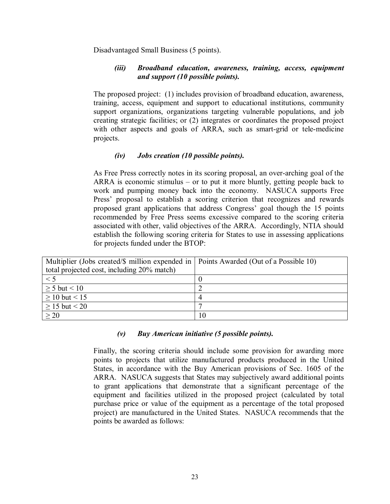Disadvantaged Small Business (5 points).

## *(iii) Broadband education, awareness, training, access, equipment and support (10 possible points).*

The proposed project: (1) includes provision of broadband education, awareness, training, access, equipment and support to educational institutions, community support organizations, organizations targeting vulnerable populations, and job creating strategic facilities; or (2) integrates or coordinates the proposed project with other aspects and goals of ARRA, such as smart-grid or tele-medicine projects.

## *(iv) Jobs creation (10 possible points).*

As Free Press correctly notes in its scoring proposal, an over-arching goal of the ARRA is economic stimulus  $-$  or to put it more bluntly, getting people back to work and pumping money back into the economy. NASUCA supports Free Press' proposal to establish a scoring criterion that recognizes and rewards proposed grant applications that address Congress' goal though the 15 points recommended by Free Press seems excessive compared to the scoring criteria associated with other, valid objectives of the ARRA. Accordingly, NTIA should establish the following scoring criteria for States to use in assessing applications for projects funded under the BTOP:

| Multiplier (Jobs created/\$ million expended in   Points Awarded (Out of a Possible 10) |  |
|-----------------------------------------------------------------------------------------|--|
| total projected cost, including 20% match)                                              |  |
| $\leq 5$                                                                                |  |
| $\geq$ 5 but < 10                                                                       |  |
| $\geq 10$ but < 15                                                                      |  |
| $\geq$ 15 but < 20                                                                      |  |
| >20                                                                                     |  |

### *(v) Buy American initiative (5 possible points).*

Finally, the scoring criteria should include some provision for awarding more points to projects that utilize manufactured products produced in the United States, in accordance with the Buy American provisions of Sec. 1605 of the ARRA. NASUCA suggests that States may subjectively award additional points to grant applications that demonstrate that a significant percentage of the equipment and facilities utilized in the proposed project (calculated by total purchase price or value of the equipment as a percentage of the total proposed project) are manufactured in the United States. NASUCA recommends that the points be awarded as follows: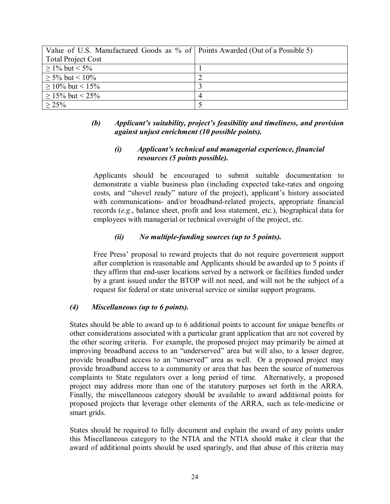| Value of U.S. Manufactured Goods as % of Points Awarded (Out of a Possible 5) |                |
|-------------------------------------------------------------------------------|----------------|
| <b>Total Project Cost</b>                                                     |                |
| $\geq$ 1% but < 5%                                                            |                |
| $\geq$ 5% but < 10%                                                           |                |
| $\geq$ 10% but < 15%                                                          |                |
| $\geq$ 15% but < 25%                                                          | $\overline{4}$ |
| $> 25\%$                                                                      |                |

## (b) Applicant's suitability, project's feasibility and timeliness, and provision *against unjust enrichment (10 possible points).*

## *(i) Applicantís technical and managerial experience, financial resources (5 points possible).*

Applicants should be encouraged to submit suitable documentation to demonstrate a viable business plan (including expected take-rates and ongoing costs, and "shovel ready" nature of the project), applicant's history associated with communications- and/or broadband-related projects, appropriate financial records (*e.g*., balance sheet, profit and loss statement, etc.), biographical data for employees with managerial or technical oversight of the project, etc.

## *(ii) No multiple-funding sources (up to 5 points).*

Free Pressí proposal to reward projects that do not require government support after completion is reasonable and Applicants should be awarded up to 5 points if they affirm that end-user locations served by a network or facilities funded under by a grant issued under the BTOP will not need, and will not be the subject of a request for federal or state universal service or similar support programs.

## *(4) Miscellaneous (up to 6 points).*

States should be able to award up to 6 additional points to account for unique benefits or other considerations associated with a particular grant application that are not covered by the other scoring criteria. For example, the proposed project may primarily be aimed at improving broadband access to an "underserved" area but will also, to a lesser degree, provide broadband access to an "unserved" area as well. Or a proposed project may provide broadband access to a community or area that has been the source of numerous complaints to State regulators over a long period of time. Alternatively, a proposed project may address more than one of the statutory purposes set forth in the ARRA. Finally, the miscellaneous category should be available to award additional points for proposed projects that leverage other elements of the ARRA, such as tele-medicine or smart grids.

States should be required to fully document and explain the award of any points under this Miscellaneous category to the NTIA and the NTIA should make it clear that the award of additional points should be used sparingly, and that abuse of this criteria may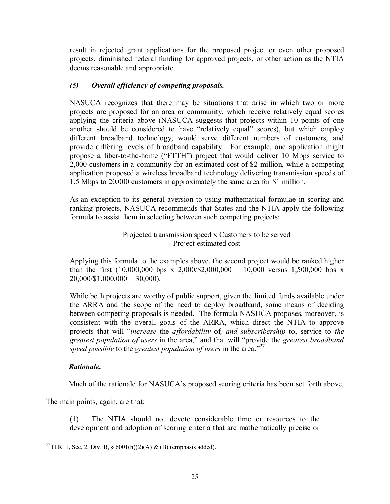result in rejected grant applications for the proposed project or even other proposed projects, diminished federal funding for approved projects, or other action as the NTIA deems reasonable and appropriate.

## *(5) Overall efficiency of competing proposals.*

NASUCA recognizes that there may be situations that arise in which two or more projects are proposed for an area or community, which receive relatively equal scores applying the criteria above (NASUCA suggests that projects within 10 points of one another should be considered to have "relatively equal" scores), but which employ different broadband technology, would serve different numbers of customers, and provide differing levels of broadband capability. For example, one application might propose a fiber-to-the-home ("FTTH") project that would deliver 10 Mbps service to 2,000 customers in a community for an estimated cost of \$2 million, while a competing application proposed a wireless broadband technology delivering transmission speeds of 1.5 Mbps to 20,000 customers in approximately the same area for \$1 million.

As an exception to its general aversion to using mathematical formulae in scoring and ranking projects, NASUCA recommends that States and the NTIA apply the following formula to assist them in selecting between such competing projects:

## Projected transmission speed x Customers to be served Project estimated cost

Applying this formula to the examples above, the second project would be ranked higher than the first  $(10,000,000 \text{ bps x } 2,000/\$2,000,000 = 10,000 \text{ versus } 1,500,000 \text{ bps x}$  $20,000/\$1,000,000 = 30,000$ .

While both projects are worthy of public support, given the limited funds available under the ARRA and the scope of the need to deploy broadband, some means of deciding between competing proposals is needed. The formula NASUCA proposes, moreover, is consistent with the overall goals of the ARRA, which direct the NTIA to approve projects that will ì*increase* the *affordability* of*, and subscribership* to, service to *the greatest population of users* in the area," and that will "provide the *greatest broadband speed possible* to the *greatest population of users* in the area.<sup>227</sup>

## *Rationale.*

Much of the rationale for NASUCA's proposed scoring criteria has been set forth above.

The main points, again, are that:

(1) The NTIA should not devote considerable time or resources to the development and adoption of scoring criteria that are mathematically precise or

l <sup>27</sup> H.R. 1, Sec. 2, Div. B, § 6001(h)(2)(A) & (B) (emphasis added).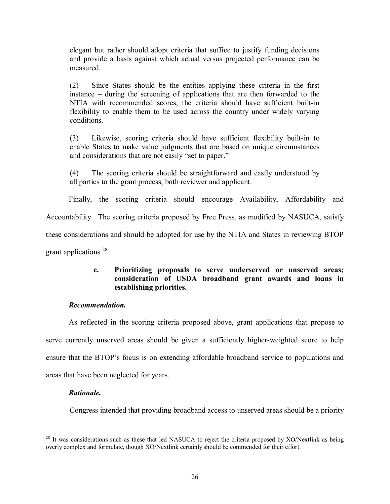elegant but rather should adopt criteria that suffice to justify funding decisions and provide a basis against which actual versus projected performance can be measured.

(2) Since States should be the entities applying these criteria in the first instance  $-$  during the screening of applications that are then forwarded to the NTIA with recommended scores, the criteria should have sufficient built-in flexibility to enable them to be used across the country under widely varying conditions.

(3) Likewise, scoring criteria should have sufficient flexibility built-in to enable States to make value judgments that are based on unique circumstances and considerations that are not easily "set to paper."

(4) The scoring criteria should be straightforward and easily understood by all parties to the grant process, both reviewer and applicant.

Finally, the scoring criteria should encourage Availability, Affordability and Accountability. The scoring criteria proposed by Free Press, as modified by NASUCA, satisfy these considerations and should be adopted for use by the NTIA and States in reviewing BTOP grant applications.<sup>28</sup>

## **c. Prioritizing proposals to serve underserved or unserved areas; consideration of USDA broadband grant awards and loans in establishing priorities.**

## *Recommendation.*

As reflected in the scoring criteria proposed above, grant applications that propose to serve currently unserved areas should be given a sufficiently higher-weighted score to help ensure that the BTOP's focus is on extending affordable broadband service to populations and areas that have been neglected for years.

### *Rationale.*

Congress intended that providing broadband access to unserved areas should be a priority

l  $^{28}$  It was considerations such as these that led NASUCA to reject the criteria proposed by XO/Nextlink as being overly complex and formulaic, though XO/Nextlink certainly should be commended for their effort.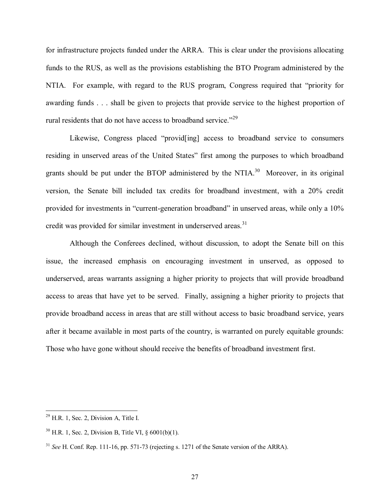for infrastructure projects funded under the ARRA. This is clear under the provisions allocating funds to the RUS, as well as the provisions establishing the BTO Program administered by the NTIA. For example, with regard to the RUS program, Congress required that "priority for awarding funds . . . shall be given to projects that provide service to the highest proportion of rural residents that do not have access to broadband service.<sup> $29$ </sup>

Likewise, Congress placed "provid[ing] access to broadband service to consumers residing in unserved areas of the United States" first among the purposes to which broadband grants should be put under the BTOP administered by the NTIA.<sup>30</sup> Moreover, in its original version, the Senate bill included tax credits for broadband investment, with a 20% credit provided for investments in "current-generation broadband" in unserved areas, while only a 10% credit was provided for similar investment in underserved areas.<sup>31</sup>

 Although the Conferees declined, without discussion, to adopt the Senate bill on this issue, the increased emphasis on encouraging investment in unserved, as opposed to underserved, areas warrants assigning a higher priority to projects that will provide broadband access to areas that have yet to be served. Finally, assigning a higher priority to projects that provide broadband access in areas that are still without access to basic broadband service, years after it became available in most parts of the country, is warranted on purely equitable grounds: Those who have gone without should receive the benefits of broadband investment first.

 $\overline{a}$ 

 $29$  H.R. 1, Sec. 2, Division A, Title I.

 $30$  H.R. 1, Sec. 2, Division B. Title VI,  $\delta$  6001(b)(1).

<sup>&</sup>lt;sup>31</sup> *See* H. Conf. Rep. 111-16, pp. 571-73 (rejecting s. 1271 of the Senate version of the ARRA).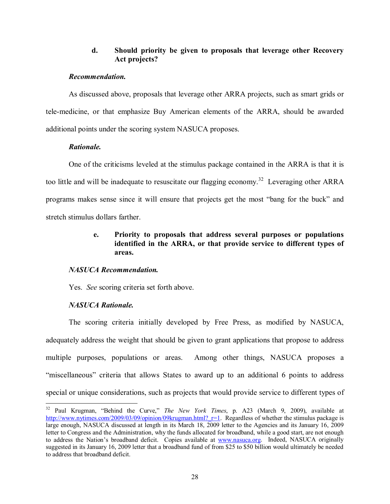### **d. Should priority be given to proposals that leverage other Recovery Act projects?**

#### *Recommendation.*

As discussed above, proposals that leverage other ARRA projects, such as smart grids or tele-medicine, or that emphasize Buy American elements of the ARRA, should be awarded additional points under the scoring system NASUCA proposes.

### *Rationale.*

 One of the criticisms leveled at the stimulus package contained in the ARRA is that it is too little and will be inadequate to resuscitate our flagging economy.<sup>32</sup> Leveraging other ARRA programs makes sense since it will ensure that projects get the most "bang for the buck" and stretch stimulus dollars farther.

## **e. Priority to proposals that address several purposes or populations identified in the ARRA, or that provide service to different types of areas.**

### *NASUCA Recommendation.*

Yes.*See* scoring criteria set forth above.

## *NASUCA Rationale.*

 The scoring criteria initially developed by Free Press, as modified by NASUCA, adequately address the weight that should be given to grant applications that propose to address multiple purposes, populations or areas. Among other things, NASUCA proposes a ìmiscellaneousî criteria that allows States to award up to an additional 6 points to address special or unique considerations, such as projects that would provide service to different types of

l <sup>32</sup> Paul Krugman, "Behind the Curve," *The New York Times*, p. A23 (March 9, 2009), available at http://www.nytimes.com/2009/03/09/opinion/09krugman.html?  $r=1$ . Regardless of whether the stimulus package is large enough, NASUCA discussed at length in its March 18, 2009 letter to the Agencies and its January 16, 2009 letter to Congress and the Administration, why the funds allocated for broadband, while a good start, are not enough to address the Nation's broadband deficit. Copies available at www.nasuca.org. Indeed, NASUCA originally suggested in its January 16, 2009 letter that a broadband fund of from \$25 to \$50 billion would ultimately be needed to address that broadband deficit.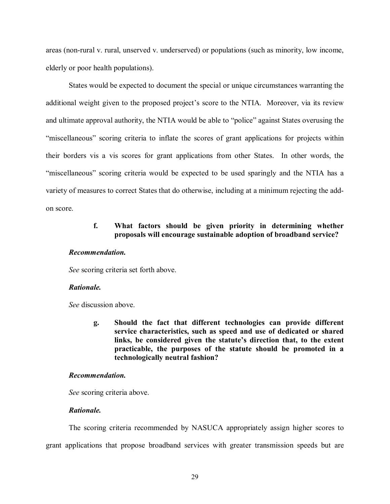areas (non-rural v. rural, unserved v. underserved) or populations (such as minority, low income, elderly or poor health populations).

States would be expected to document the special or unique circumstances warranting the additional weight given to the proposed project's score to the NTIA. Moreover, via its review and ultimate approval authority, the NTIA would be able to "police" against States overusing the "miscellaneous" scoring criteria to inflate the scores of grant applications for projects within their borders vis a vis scores for grant applications from other States. In other words, the "miscellaneous" scoring criteria would be expected to be used sparingly and the NTIA has a variety of measures to correct States that do otherwise, including at a minimum rejecting the addon score.

### **f. What factors should be given priority in determining whether proposals will encourage sustainable adoption of broadband service?**

#### *Recommendation.*

*See* scoring criteria set forth above.

### *Rationale.*

*See* discussion above.

**g. Should the fact that different technologies can provide different service characteristics, such as speed and use of dedicated or shared**  links, be considered given the statute's direction that, to the extent **practicable, the purposes of the statute should be promoted in a technologically neutral fashion?** 

#### *Recommendation.*

*See* scoring criteria above.

#### *Rationale.*

The scoring criteria recommended by NASUCA appropriately assign higher scores to grant applications that propose broadband services with greater transmission speeds but are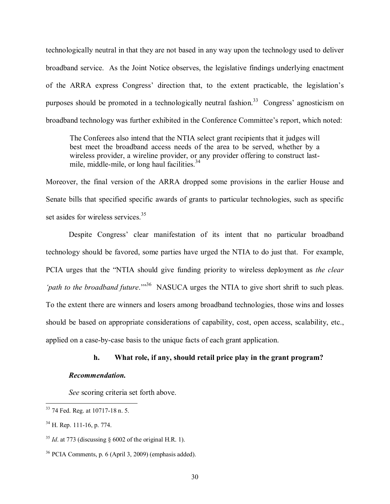technologically neutral in that they are not based in any way upon the technology used to deliver broadband service. As the Joint Notice observes, the legislative findings underlying enactment of the ARRA express Congress' direction that, to the extent practicable, the legislation's purposes should be promoted in a technologically neutral fashion.<sup>33</sup> Congress' agnosticism on broadband technology was further exhibited in the Conference Committee's report, which noted:

The Conferees also intend that the NTIA select grant recipients that it judges will best meet the broadband access needs of the area to be served, whether by a wireless provider, a wireline provider, or any provider offering to construct lastmile, middle-mile, or long haul facilities.<sup>34</sup>

Moreover, the final version of the ARRA dropped some provisions in the earlier House and Senate bills that specified specific awards of grants to particular technologies, such as specific set asides for wireless services.<sup>35</sup>

Despite Congress' clear manifestation of its intent that no particular broadband technology should be favored, some parties have urged the NTIA to do just that. For example, PCIA urges that the "NTIA should give funding priority to wireless deployment as *the clear form to the broadband future.*<sup>36</sup> NASUCA urges the NTIA to give short shrift to such pleas. To the extent there are winners and losers among broadband technologies, those wins and losses should be based on appropriate considerations of capability, cost, open access, scalability, etc., applied on a case-by-case basis to the unique facts of each grant application.

#### **h. What role, if any, should retail price play in the grant program?**

#### *Recommendation.*

*See* scoring criteria set forth above.

l

<sup>&</sup>lt;sup>33</sup> 74 Fed. Reg. at 10717-18 n. 5.

<sup>34</sup> H. Rep. 111-16, p. 774.

 $35$  *Id.* at 773 (discussing  $\S$  6002 of the original H.R. 1).

<sup>36</sup> PCIA Comments, p. 6 (April 3, 2009) (emphasis added).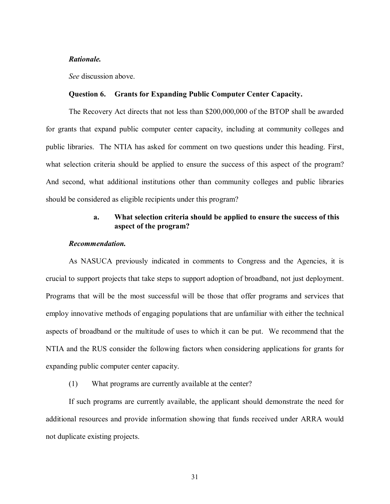#### *Rationale.*

*See* discussion above.

#### **Question 6. Grants for Expanding Public Computer Center Capacity.**

The Recovery Act directs that not less than \$200,000,000 of the BTOP shall be awarded for grants that expand public computer center capacity, including at community colleges and public libraries. The NTIA has asked for comment on two questions under this heading. First, what selection criteria should be applied to ensure the success of this aspect of the program? And second, what additional institutions other than community colleges and public libraries should be considered as eligible recipients under this program?

### **a. What selection criteria should be applied to ensure the success of this aspect of the program?**

#### *Recommendation.*

As NASUCA previously indicated in comments to Congress and the Agencies, it is crucial to support projects that take steps to support adoption of broadband, not just deployment. Programs that will be the most successful will be those that offer programs and services that employ innovative methods of engaging populations that are unfamiliar with either the technical aspects of broadband or the multitude of uses to which it can be put. We recommend that the NTIA and the RUS consider the following factors when considering applications for grants for expanding public computer center capacity.

(1) What programs are currently available at the center?

If such programs are currently available, the applicant should demonstrate the need for additional resources and provide information showing that funds received under ARRA would not duplicate existing projects.

31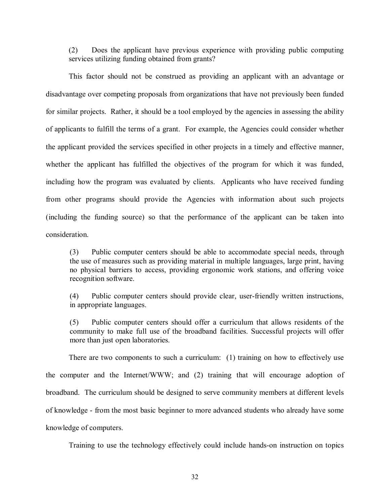(2) Does the applicant have previous experience with providing public computing services utilizing funding obtained from grants?

This factor should not be construed as providing an applicant with an advantage or disadvantage over competing proposals from organizations that have not previously been funded for similar projects. Rather, it should be a tool employed by the agencies in assessing the ability of applicants to fulfill the terms of a grant. For example, the Agencies could consider whether the applicant provided the services specified in other projects in a timely and effective manner, whether the applicant has fulfilled the objectives of the program for which it was funded, including how the program was evaluated by clients. Applicants who have received funding from other programs should provide the Agencies with information about such projects (including the funding source) so that the performance of the applicant can be taken into consideration.

(3) Public computer centers should be able to accommodate special needs, through the use of measures such as providing material in multiple languages, large print, having no physical barriers to access, providing ergonomic work stations, and offering voice recognition software.

(4) Public computer centers should provide clear, user-friendly written instructions, in appropriate languages.

(5) Public computer centers should offer a curriculum that allows residents of the community to make full use of the broadband facilities. Successful projects will offer more than just open laboratories.

There are two components to such a curriculum: (1) training on how to effectively use the computer and the Internet/WWW; and (2) training that will encourage adoption of broadband. The curriculum should be designed to serve community members at different levels of knowledge - from the most basic beginner to more advanced students who already have some knowledge of computers.

Training to use the technology effectively could include hands-on instruction on topics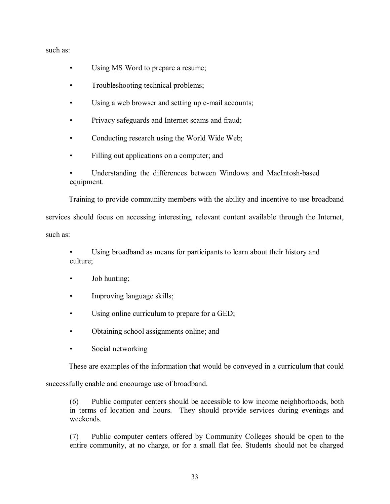such as:

- Using MS Word to prepare a resume;
- Troubleshooting technical problems;
- Using a web browser and setting up e-mail accounts;
- Privacy safeguards and Internet scams and fraud;
- Conducting research using the World Wide Web;
- Filling out applications on a computer; and
- Understanding the differences between Windows and MacIntosh-based equipment.

Training to provide community members with the ability and incentive to use broadband

services should focus on accessing interesting, relevant content available through the Internet, such as:

Using broadband as means for participants to learn about their history and culture;

- $\bullet$  Job hunting;
- Improving language skills;
- Using online curriculum to prepare for a GED;
- Obtaining school assignments online; and
- Social networking

These are examples of the information that would be conveyed in a curriculum that could

successfully enable and encourage use of broadband.

(6) Public computer centers should be accessible to low income neighborhoods, both in terms of location and hours. They should provide services during evenings and weekends.

(7) Public computer centers offered by Community Colleges should be open to the entire community, at no charge, or for a small flat fee. Students should not be charged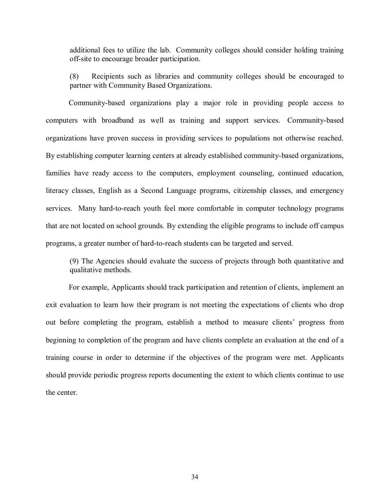additional fees to utilize the lab. Community colleges should consider holding training off-site to encourage broader participation.

(8) Recipients such as libraries and community colleges should be encouraged to partner with Community Based Organizations.

Community-based organizations play a major role in providing people access to computers with broadband as well as training and support services. Community-based organizations have proven success in providing services to populations not otherwise reached. By establishing computer learning centers at already established community-based organizations, families have ready access to the computers, employment counseling, continued education, literacy classes, English as a Second Language programs, citizenship classes, and emergency services. Many hard-to-reach youth feel more comfortable in computer technology programs that are not located on school grounds. By extending the eligible programs to include off campus programs, a greater number of hard-to-reach students can be targeted and served.

(9) The Agencies should evaluate the success of projects through both quantitative and qualitative methods.

For example, Applicants should track participation and retention of clients, implement an exit evaluation to learn how their program is not meeting the expectations of clients who drop out before completing the program, establish a method to measure clients' progress from beginning to completion of the program and have clients complete an evaluation at the end of a training course in order to determine if the objectives of the program were met. Applicants should provide periodic progress reports documenting the extent to which clients continue to use the center.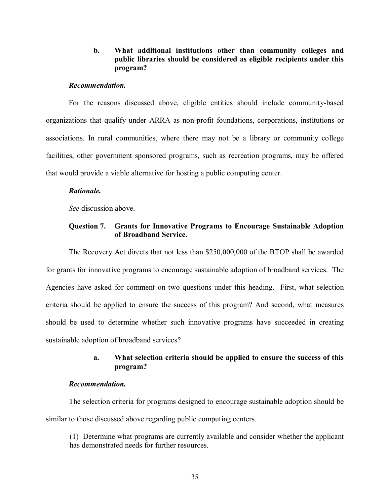### **b. What additional institutions other than community colleges and public libraries should be considered as eligible recipients under this program?**

#### *Recommendation.*

 For the reasons discussed above, eligible entities should include community-based organizations that qualify under ARRA as non-profit foundations, corporations, institutions or associations. In rural communities, where there may not be a library or community college facilities, other government sponsored programs, such as recreation programs, may be offered that would provide a viable alternative for hosting a public computing center.

#### *Rationale.*

*See* discussion above.

### **Question 7. Grants for Innovative Programs to Encourage Sustainable Adoption of Broadband Service.**

The Recovery Act directs that not less than \$250,000,000 of the BTOP shall be awarded for grants for innovative programs to encourage sustainable adoption of broadband services. The Agencies have asked for comment on two questions under this heading. First, what selection criteria should be applied to ensure the success of this program? And second, what measures should be used to determine whether such innovative programs have succeeded in creating sustainable adoption of broadband services?

### **a. What selection criteria should be applied to ensure the success of this program?**

### *Recommendation.*

The selection criteria for programs designed to encourage sustainable adoption should be similar to those discussed above regarding public computing centers.

(1) Determine what programs are currently available and consider whether the applicant has demonstrated needs for further resources.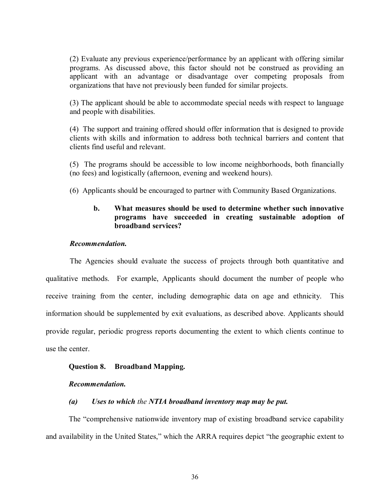(2) Evaluate any previous experience/performance by an applicant with offering similar programs. As discussed above, this factor should not be construed as providing an applicant with an advantage or disadvantage over competing proposals from organizations that have not previously been funded for similar projects.

(3) The applicant should be able to accommodate special needs with respect to language and people with disabilities.

(4) The support and training offered should offer information that is designed to provide clients with skills and information to address both technical barriers and content that clients find useful and relevant.

(5) The programs should be accessible to low income neighborhoods, both financially (no fees) and logistically (afternoon, evening and weekend hours).

(6) Applicants should be encouraged to partner with Community Based Organizations.

### **b. What measures should be used to determine whether such innovative programs have succeeded in creating sustainable adoption of broadband services?**

#### *Recommendation.*

The Agencies should evaluate the success of projects through both quantitative and qualitative methods. For example, Applicants should document the number of people who receive training from the center, including demographic data on age and ethnicity. This information should be supplemented by exit evaluations, as described above. Applicants should provide regular, periodic progress reports documenting the extent to which clients continue to use the center.

#### **Question 8. Broadband Mapping.**

#### *Recommendation.*

#### *(a) Uses to which the NTIA broadband inventory map may be put.*

The "comprehensive nationwide inventory map of existing broadband service capability and availability in the United States," which the ARRA requires depict "the geographic extent to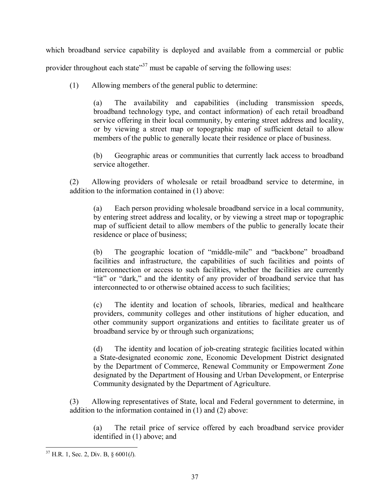which broadband service capability is deployed and available from a commercial or public provider throughout each state<sup>37</sup> must be capable of serving the following uses:

(1) Allowing members of the general public to determine:

(a) The availability and capabilities (including transmission speeds, broadband technology type, and contact information) of each retail broadband service offering in their local community, by entering street address and locality, or by viewing a street map or topographic map of sufficient detail to allow members of the public to generally locate their residence or place of business.

(b) Geographic areas or communities that currently lack access to broadband service altogether.

(2) Allowing providers of wholesale or retail broadband service to determine, in addition to the information contained in (1) above:

(a) Each person providing wholesale broadband service in a local community, by entering street address and locality, or by viewing a street map or topographic map of sufficient detail to allow members of the public to generally locate their residence or place of business;

 $(b)$  The geographic location of "middle-mile" and "backbone" broadband facilities and infrastructure, the capabilities of such facilities and points of interconnection or access to such facilities, whether the facilities are currently "lit" or "dark," and the identity of any provider of broadband service that has interconnected to or otherwise obtained access to such facilities;

(c) The identity and location of schools, libraries, medical and healthcare providers, community colleges and other institutions of higher education, and other community support organizations and entities to facilitate greater us of broadband service by or through such organizations;

(d) The identity and location of job-creating strategic facilities located within a State-designated economic zone, Economic Development District designated by the Department of Commerce, Renewal Community or Empowerment Zone designated by the Department of Housing and Urban Development, or Enterprise Community designated by the Department of Agriculture.

(3) Allowing representatives of State, local and Federal government to determine, in addition to the information contained in (1) and (2) above:

(a) The retail price of service offered by each broadband service provider identified in (1) above; and

 $\overline{a}$ 37 H.R. 1, Sec. 2, Div. B, ß 6001(*l*).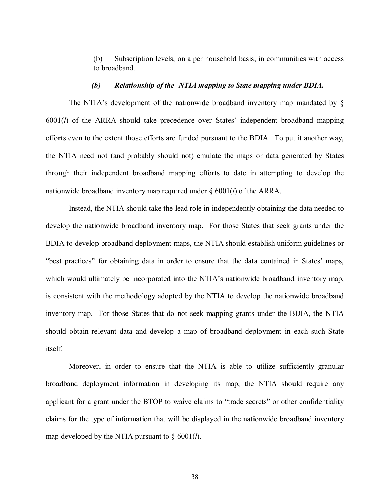(b) Subscription levels, on a per household basis, in communities with access to broadband.

#### *(b) Relationship of the NTIA mapping to State mapping under BDIA.*

The NTIA's development of the nationwide broadband inventory map mandated by  $\S$ 6001(*l*) of the ARRA should take precedence over States' independent broadband mapping efforts even to the extent those efforts are funded pursuant to the BDIA. To put it another way, the NTIA need not (and probably should not) emulate the maps or data generated by States through their independent broadband mapping efforts to date in attempting to develop the nationwide broadband inventory map required under ß 6001(*l*) of the ARRA.

Instead, the NTIA should take the lead role in independently obtaining the data needed to develop the nationwide broadband inventory map. For those States that seek grants under the BDIA to develop broadband deployment maps, the NTIA should establish uniform guidelines or "best practices" for obtaining data in order to ensure that the data contained in States' maps, which would ultimately be incorporated into the NTIA's nationwide broadband inventory map, is consistent with the methodology adopted by the NTIA to develop the nationwide broadband inventory map. For those States that do not seek mapping grants under the BDIA, the NTIA should obtain relevant data and develop a map of broadband deployment in each such State itself.

Moreover, in order to ensure that the NTIA is able to utilize sufficiently granular broadband deployment information in developing its map, the NTIA should require any applicant for a grant under the BTOP to waive claims to "trade secrets" or other confidentiality claims for the type of information that will be displayed in the nationwide broadband inventory map developed by the NTIA pursuant to  $\S$  6001(*l*).

38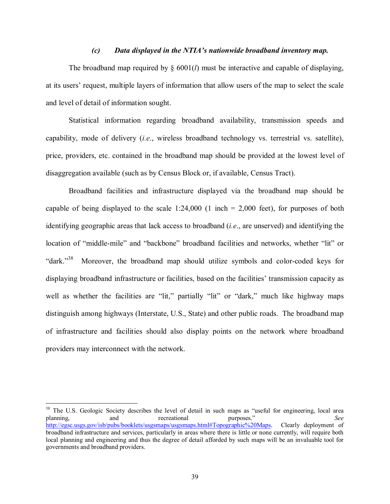#### *(c) Data displayed in the NTIAís nationwide broadband inventory map.*

The broadband map required by  $\S$  6001(*l*) must be interactive and capable of displaying, at its users' request, multiple layers of information that allow users of the map to select the scale and level of detail of information sought.

Statistical information regarding broadband availability, transmission speeds and capability, mode of delivery (*i.e*., wireless broadband technology vs. terrestrial vs. satellite), price, providers, etc. contained in the broadband map should be provided at the lowest level of disaggregation available (such as by Census Block or, if available, Census Tract).

Broadband facilities and infrastructure displayed via the broadband map should be capable of being displayed to the scale  $1:24,000$  (1 inch = 2,000 feet), for purposes of both identifying geographic areas that lack access to broadband (*i.e*., are unserved) and identifying the location of "middle-mile" and "backbone" broadband facilities and networks, whether "lit" or "dark. $138}$  Moreover, the broadband map should utilize symbols and color-coded keys for displaying broadband infrastructure or facilities, based on the facilities' transmission capacity as well as whether the facilities are "lit," partially "lit" or "dark," much like highway maps distinguish among highways (Interstate, U.S., State) and other public roads. The broadband map of infrastructure and facilities should also display points on the network where broadband providers may interconnect with the network.

l

<sup>&</sup>lt;sup>38</sup> The U.S. Geologic Society describes the level of detail in such maps as "useful for engineering, local area planning, and recreational purposes.<sup>n</sup> See http://egsc.usgs.gov/isb/pubs/booklets/usgsmaps/usgsmaps.html#Topographic%20Maps. Clearly deployment of broadband infrastructure and services, particularly in areas where there is little or none currently, will require both local planning and engineering and thus the degree of detail afforded by such maps will be an invaluable tool for governments and broadband providers.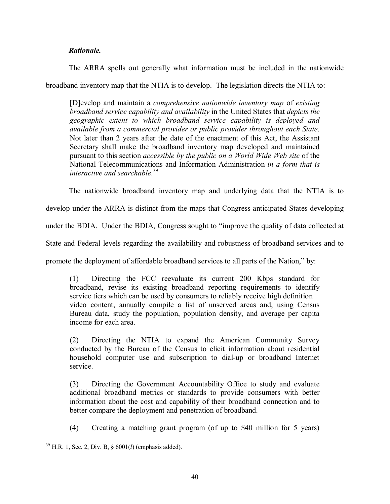## *Rationale.*

The ARRA spells out generally what information must be included in the nationwide

broadband inventory map that the NTIA is to develop. The legislation directs the NTIA to:

[D]evelop and maintain a *comprehensive nationwide inventory map* of *existing broadband service capability and availability* in the United States that *depicts the geographic extent to which broadband service capability is deployed and available from a commercial provider or public provider throughout each State*. Not later than 2 years after the date of the enactment of this Act, the Assistant Secretary shall make the broadband inventory map developed and maintained pursuant to this section *accessible by the public on a World Wide Web site* of the National Telecommunications and Information Administration *in a form that is interactive and searchable*. 39

The nationwide broadband inventory map and underlying data that the NTIA is to

develop under the ARRA is distinct from the maps that Congress anticipated States developing

under the BDIA. Under the BDIA, Congress sought to "improve the quality of data collected at

State and Federal levels regarding the availability and robustness of broadband services and to

promote the deployment of affordable broadband services to all parts of the Nation," by:

(1) Directing the FCC reevaluate its current 200 Kbps standard for broadband, revise its existing broadband reporting requirements to identify service tiers which can be used by consumers to reliably receive high definition video content, annually compile a list of unserved areas and, using Census Bureau data, study the population, population density, and average per capita income for each area.

(2) Directing the NTIA to expand the American Community Survey conducted by the Bureau of the Census to elicit information about residential household computer use and subscription to dial-up or broadband Internet service.

(3) Directing the Government Accountability Office to study and evaluate additional broadband metrics or standards to provide consumers with better information about the cost and capability of their broadband connection and to better compare the deployment and penetration of broadband.

(4) Creating a matching grant program (of up to \$40 million for 5 years)

l 39 H.R. 1, Sec. 2, Div. B, ß 6001(*l*) (emphasis added).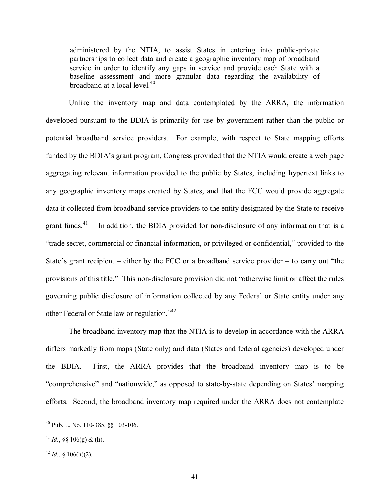administered by the NTIA, to assist States in entering into public-private partnerships to collect data and create a geographic inventory map of broadband service in order to identify any gaps in service and provide each State with a baseline assessment and more granular data regarding the availability of broadband at a local level. $40<sup>40</sup>$ 

Unlike the inventory map and data contemplated by the ARRA, the information developed pursuant to the BDIA is primarily for use by government rather than the public or potential broadband service providers. For example, with respect to State mapping efforts funded by the BDIA's grant program, Congress provided that the NTIA would create a web page aggregating relevant information provided to the public by States, including hypertext links to any geographic inventory maps created by States, and that the FCC would provide aggregate data it collected from broadband service providers to the entity designated by the State to receive grant funds.<sup>41</sup> In addition, the BDIA provided for non-disclosure of any information that is a ìtrade secret, commercial or financial information, or privileged or confidential,î provided to the State's grant recipient  $-$  either by the FCC or a broadband service provider  $-$  to carry out "the provisions of this title." This non-disclosure provision did not "otherwise limit or affect the rules governing public disclosure of information collected by any Federal or State entity under any other Federal or State law or regulation.<sup> $142$ </sup>

The broadband inventory map that the NTIA is to develop in accordance with the ARRA differs markedly from maps (State only) and data (States and federal agencies) developed under the BDIA. First, the ARRA provides that the broadband inventory map is to be "comprehensive" and "nationwide," as opposed to state-by-state depending on States' mapping efforts. Second, the broadband inventory map required under the ARRA does not contemplate

 $\overline{a}$ 

 $^{40}$  Pub. L. No. 110-385, §§ 103-106.

<sup>&</sup>lt;sup>41</sup> *Id.*, §§ 106(g) & (h).

 $42$  *Id.*, § 106(h)(2).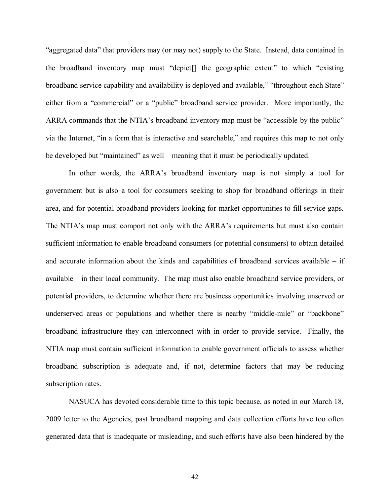"aggregated data" that providers may (or may not) supply to the State. Instead, data contained in the broadband inventory map must "depict<sup>[]</sup> the geographic extent" to which "existing broadband service capability and availability is deployed and available," "throughout each State" either from a "commercial" or a "public" broadband service provider. More importantly, the ARRA commands that the NTIA's broadband inventory map must be "accessible by the public" via the Internet, "in a form that is interactive and searchable," and requires this map to not only be developed but "maintained" as well – meaning that it must be periodically updated.

In other words, the ARRA's broadband inventory map is not simply a tool for government but is also a tool for consumers seeking to shop for broadband offerings in their area, and for potential broadband providers looking for market opportunities to fill service gaps. The NTIA's map must comport not only with the ARRA's requirements but must also contain sufficient information to enable broadband consumers (or potential consumers) to obtain detailed and accurate information about the kinds and capabilities of broadband services available  $-$  if available  $-$  in their local community. The map must also enable broadband service providers, or potential providers, to determine whether there are business opportunities involving unserved or underserved areas or populations and whether there is nearby "middle-mile" or "backbone" broadband infrastructure they can interconnect with in order to provide service. Finally, the NTIA map must contain sufficient information to enable government officials to assess whether broadband subscription is adequate and, if not, determine factors that may be reducing subscription rates.

NASUCA has devoted considerable time to this topic because, as noted in our March 18, 2009 letter to the Agencies, past broadband mapping and data collection efforts have too often generated data that is inadequate or misleading, and such efforts have also been hindered by the

42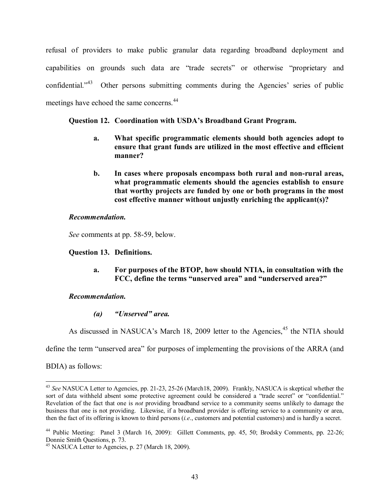refusal of providers to make public granular data regarding broadband deployment and capabilities on grounds such data are "trade secrets" or otherwise "proprietary and confidential.<sup> $343$ </sup> Other persons submitting comments during the Agencies' series of public meetings have echoed the same concerns.<sup>44</sup>

## **Question 12. Coordination with USDA's Broadband Grant Program.**

- **a. What specific programmatic elements should both agencies adopt to ensure that grant funds are utilized in the most effective and efficient manner?**
- **b. In cases where proposals encompass both rural and non-rural areas, what programmatic elements should the agencies establish to ensure that worthy projects are funded by one or both programs in the most cost effective manner without unjustly enriching the applicant(s)?**

### *Recommendation.*

*See* comments at pp. 58-59, below.

### **Question 13. Definitions.**

**a. For purposes of the BTOP, how should NTIA, in consultation with the**  FCC, define the terms "unserved area" and "underserved area?"

### *Recommendation.*

*(a)* "*Unserved*" *area.* 

As discussed in NASUCA's March 18, 2009 letter to the Agencies,<sup>45</sup> the NTIA should

define the term "unserved area" for purposes of implementing the provisions of the ARRA (and

BDIA) as follows:

l

<sup>43</sup> *See* NASUCA Letter to Agencies, pp. 21-23, 25-26 (March18, 2009). Frankly, NASUCA is skeptical whether the sort of data withheld absent some protective agreement could be considered a "trade secret" or "confidential." Revelation of the fact that one is *not* providing broadband service to a community seems unlikely to damage the business that one is not providing. Likewise, if a broadband provider is offering service to a community or area, then the fact of its offering is known to third persons (*i.e*., customers and potential customers) and is hardly a secret.

<sup>44</sup> Public Meeting: Panel 3 (March 16, 2009): Gillett Comments, pp. 45, 50; Brodsky Comments, pp. 22-26; Donnie Smith Questions, p. 73.

 $45$  NASUCA Letter to Agencies, p. 27 (March 18, 2009).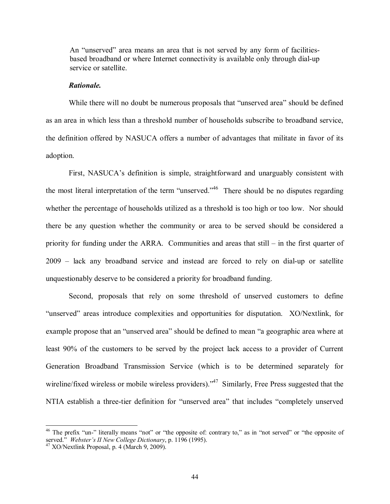An "unserved" area means an area that is not served by any form of facilitiesbased broadband or where Internet connectivity is available only through dial-up service or satellite.

#### *Rationale.*

While there will no doubt be numerous proposals that "unserved area" should be defined as an area in which less than a threshold number of households subscribe to broadband service, the definition offered by NASUCA offers a number of advantages that militate in favor of its adoption.

First, NASUCA's definition is simple, straightforward and unarguably consistent with the most literal interpretation of the term "unserved.<sup> $346$ </sup> There should be no disputes regarding whether the percentage of households utilized as a threshold is too high or too low. Nor should there be any question whether the community or area to be served should be considered a priority for funding under the ARRA. Communities and areas that still  $-$  in the first quarter of  $2009$  – lack any broadband service and instead are forced to rely on dial-up or satellite unquestionably deserve to be considered a priority for broadband funding.

 Second, proposals that rely on some threshold of unserved customers to define "unserved" areas introduce complexities and opportunities for disputation. XO/Nextlink, for example propose that an "unserved area" should be defined to mean "a geographic area where at least 90% of the customers to be served by the project lack access to a provider of Current Generation Broadband Transmission Service (which is to be determined separately for wireline/fixed wireless or mobile wireless providers).<sup> $47$ </sup> Similarly, Free Press suggested that the NTIA establish a three-tier definition for "unserved area" that includes "completely unserved

l

 $46$  The prefix "un-" literally means "not" or "the opposite of: contrary to," as in "not served" or "the opposite of served.<sup>"</sup> *Webster's II New College Dictionary*, p. 1196 (1995).<br><sup>47</sup> XO/Nextlink Proposal, p. 4 (March 9, 2009).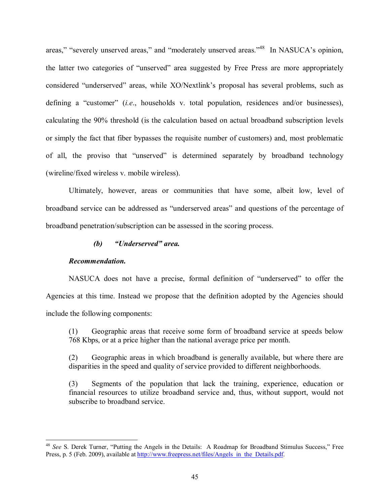areas," "severely unserved areas," and "moderately unserved areas." <sup>48</sup> In NASUCA's opinion, the latter two categories of "unserved" area suggested by Free Press are more appropriately considered "underserved" areas, while XO/Nextlink's proposal has several problems, such as defining a "customer" *(i.e.*, households v. total population, residences and/or businesses), calculating the 90% threshold (is the calculation based on actual broadband subscription levels or simply the fact that fiber bypasses the requisite number of customers) and, most problematic of all, the proviso that "unserved" is determined separately by broadband technology (wireline/fixed wireless v. mobile wireless).

Ultimately, however, areas or communities that have some, albeit low, level of broadband service can be addressed as "underserved areas" and questions of the percentage of broadband penetration/subscription can be assessed in the scoring process.

## *(b)* "Underserved" area.

### *Recommendation.*

l

NASUCA does not have a precise, formal definition of "underserved" to offer the Agencies at this time. Instead we propose that the definition adopted by the Agencies should include the following components:

(1) Geographic areas that receive some form of broadband service at speeds below 768 Kbps, or at a price higher than the national average price per month.

(2) Geographic areas in which broadband is generally available, but where there are disparities in the speed and quality of service provided to different neighborhoods.

(3) Segments of the population that lack the training, experience, education or financial resources to utilize broadband service and, thus, without support, would not subscribe to broadband service.

<sup>&</sup>lt;sup>48</sup> See S. Derek Turner, "Putting the Angels in the Details: A Roadmap for Broadband Stimulus Success," Free Press, p. 5 (Feb. 2009), available at http://www.freepress.net/files/Angels\_in\_the\_Details.pdf.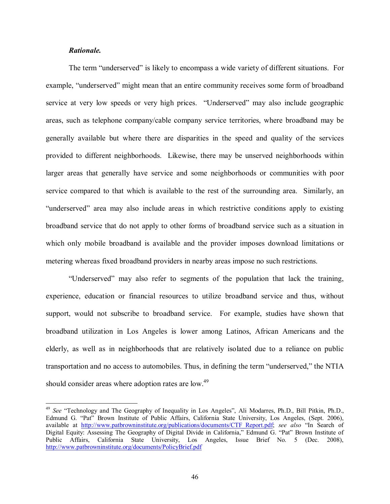#### *Rationale.*

l

The term "underserved" is likely to encompass a wide variety of different situations. For example, "underserved" might mean that an entire community receives some form of broadband service at very low speeds or very high prices. "Underserved" may also include geographic areas, such as telephone company/cable company service territories, where broadband may be generally available but where there are disparities in the speed and quality of the services provided to different neighborhoods. Likewise, there may be unserved neighborhoods within larger areas that generally have service and some neighborhoods or communities with poor service compared to that which is available to the rest of the surrounding area. Similarly, an ìunderservedî area may also include areas in which restrictive conditions apply to existing broadband service that do not apply to other forms of broadband service such as a situation in which only mobile broadband is available and the provider imposes download limitations or metering whereas fixed broadband providers in nearby areas impose no such restrictions.

ìUnderservedî may also refer to segments of the population that lack the training, experience, education or financial resources to utilize broadband service and thus, without support, would not subscribe to broadband service. For example, studies have shown that broadband utilization in Los Angeles is lower among Latinos, African Americans and the elderly, as well as in neighborhoods that are relatively isolated due to a reliance on public transportation and no access to automobiles. Thus, in defining the term "underserved," the NTIA should consider areas where adoption rates are low.<sup>49</sup>

<sup>&</sup>lt;sup>49</sup> See "Technology and The Geography of Inequality in Los Angeles", Ali Modarres, Ph.D., Bill Pitkin, Ph.D., Edmund G. "Pat<sup>"</sup> Brown Institute of Public Affairs, California State University, Los Angeles, (Sept. 2006), available at http://www.patbrowninstitute.org/publications/documents/CTF\_Report.pdf; see also "In Search of Digital Equity: Assessing The Geography of Digital Divide in California," Edmund G. "Pat" Brown Institute of Public Affairs, California State University, Los Angeles, Issue Brief No. 5 (Dec. 2008), http://www.patbrowninstitute.org/documents/PolicyBrief.pdf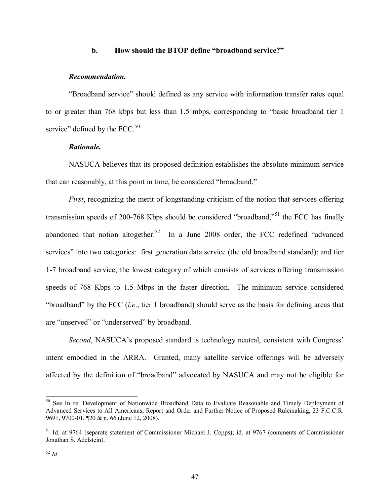### **b.** How should the BTOP define "broadband service?"

#### *Recommendation.*

ìBroadband serviceî should defined as any service with information transfer rates equal to or greater than 768 kbps but less than 1.5 mbps, corresponding to "basic broadband tier 1 service" defined by the FCC. $50$ 

### *Rationale.*

NASUCA believes that its proposed definition establishes the absolute minimum service that can reasonably, at this point in time, be considered "broadband."

*First*, recognizing the merit of longstanding criticism of the notion that services offering transmission speeds of 200-768 Kbps should be considered "broadband,"<sup>51</sup> the FCC has finally abandoned that notion altogether.<sup>52</sup> In a June 2008 order, the FCC redefined "advanced" services" into two categories: first generation data service (the old broadband standard); and tier 1-7 broadband service, the lowest category of which consists of services offering transmission speeds of 768 Kbps to 1.5 Mbps in the faster direction. The minimum service considered ìbroadbandî by the FCC (*i.e*., tier 1 broadband) should serve as the basis for defining areas that are "unserved" or "underserved" by broadband.

*Second*, NASUCA's proposed standard is technology neutral, consistent with Congress' intent embodied in the ARRA. Granted, many satellite service offerings will be adversely affected by the definition of "broadband" advocated by NASUCA and may not be eligible for

l

<sup>&</sup>lt;sup>50</sup> See In re: Development of Nationwide Broadband Data to Evaluate Reasonable and Timely Deployment of Advanced Services to All Americans, Report and Order and Further Notice of Proposed Rulemaking, 23 F.C.C.R. 9691, 9700-01, ¶20 & n. 66 (June 12, 2008).

<sup>51</sup> Id. at 9764 (separate statement of Commissioner Michael J. Copps); id. at 9767 (comments of Commissioner Jonathan S. Adelstein).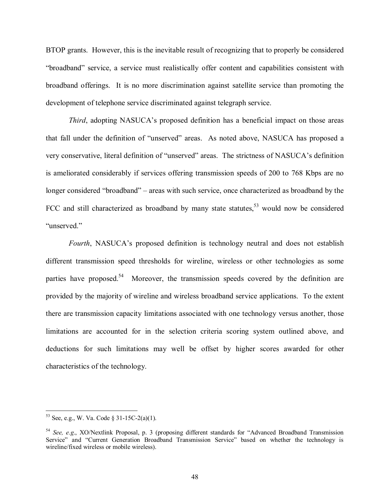BTOP grants. However, this is the inevitable result of recognizing that to properly be considered ìbroadbandî service, a service must realistically offer content and capabilities consistent with broadband offerings. It is no more discrimination against satellite service than promoting the development of telephone service discriminated against telegraph service.

*Third*, adopting NASUCA's proposed definition has a beneficial impact on those areas that fall under the definition of "unserved" areas. As noted above, NASUCA has proposed a very conservative, literal definition of "unserved" areas. The strictness of NASUCA's definition is ameliorated considerably if services offering transmission speeds of 200 to 768 Kbps are no longer considered "broadband" – areas with such service, once characterized as broadband by the FCC and still characterized as broadband by many state statutes,  $53$  would now be considered "unserved."

*Fourth*, NASUCA's proposed definition is technology neutral and does not establish different transmission speed thresholds for wireline, wireless or other technologies as some parties have proposed.<sup>54</sup> Moreover, the transmission speeds covered by the definition are provided by the majority of wireline and wireless broadband service applications. To the extent there are transmission capacity limitations associated with one technology versus another, those limitations are accounted for in the selection criteria scoring system outlined above, and deductions for such limitations may well be offset by higher scores awarded for other characteristics of the technology.

 $\overline{a}$ 

 $53$  See, e.g., W. Va. Code § 31-15C-2(a)(1).

<sup>&</sup>lt;sup>54</sup> *See, e.g.*, XO/Nextlink Proposal, p. 3 (proposing different standards for "Advanced Broadband Transmission" Service" and "Current Generation Broadband Transmission Service" based on whether the technology is wireline/fixed wireless or mobile wireless).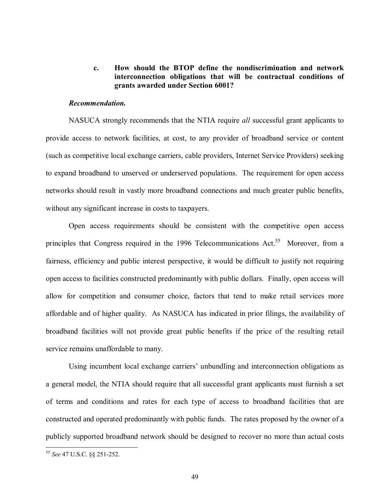### **c. How should the BTOP define the nondiscrimination and network interconnection obligations that will be contractual conditions of grants awarded under Section 6001?**

#### *Recommendation.*

 NASUCA strongly recommends that the NTIA require *all* successful grant applicants to provide access to network facilities, at cost, to any provider of broadband service or content (such as competitive local exchange carriers, cable providers, Internet Service Providers) seeking to expand broadband to unserved or underserved populations. The requirement for open access networks should result in vastly more broadband connections and much greater public benefits, without any significant increase in costs to taxpayers.

Open access requirements should be consistent with the competitive open access principles that Congress required in the 1996 Telecommunications Act.<sup>55</sup> Moreover, from a fairness, efficiency and public interest perspective, it would be difficult to justify not requiring open access to facilities constructed predominantly with public dollars. Finally, open access will allow for competition and consumer choice, factors that tend to make retail services more affordable and of higher quality. As NASUCA has indicated in prior filings, the availability of broadband facilities will not provide great public benefits if the price of the resulting retail service remains unaffordable to many.

Using incumbent local exchange carriers' unbundling and interconnection obligations as a general model, the NTIA should require that all successful grant applicants must furnish a set of terms and conditions and rates for each type of access to broadband facilities that are constructed and operated predominantly with public funds. The rates proposed by the owner of a publicly supported broadband network should be designed to recover no more than actual costs

 $\overline{a}$ 

<sup>55</sup> *See* 47 U.S.C. ßß 251-252.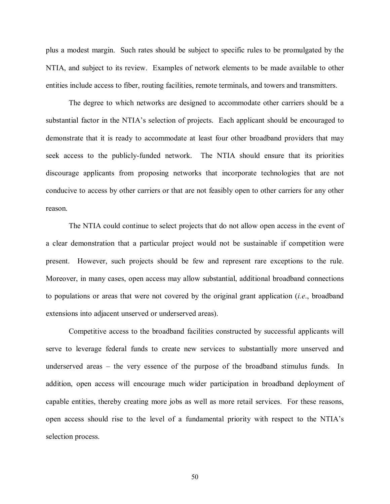plus a modest margin. Such rates should be subject to specific rules to be promulgated by the NTIA, and subject to its review. Examples of network elements to be made available to other entities include access to fiber, routing facilities, remote terminals, and towers and transmitters.

 The degree to which networks are designed to accommodate other carriers should be a substantial factor in the NTIA's selection of projects. Each applicant should be encouraged to demonstrate that it is ready to accommodate at least four other broadband providers that may seek access to the publicly-funded network. The NTIA should ensure that its priorities discourage applicants from proposing networks that incorporate technologies that are not conducive to access by other carriers or that are not feasibly open to other carriers for any other reason.

The NTIA could continue to select projects that do not allow open access in the event of a clear demonstration that a particular project would not be sustainable if competition were present. However, such projects should be few and represent rare exceptions to the rule. Moreover, in many cases, open access may allow substantial, additional broadband connections to populations or areas that were not covered by the original grant application (*i.e*., broadband extensions into adjacent unserved or underserved areas).

Competitive access to the broadband facilities constructed by successful applicants will serve to leverage federal funds to create new services to substantially more unserved and underserved areas  $-$  the very essence of the purpose of the broadband stimulus funds. In addition, open access will encourage much wider participation in broadband deployment of capable entities, thereby creating more jobs as well as more retail services. For these reasons, open access should rise to the level of a fundamental priority with respect to the NTIA's selection process.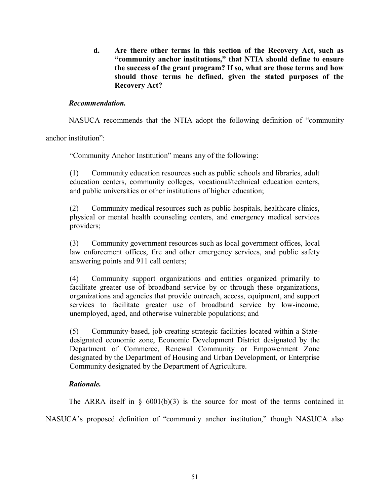**d. Are there other terms in this section of the Recovery Act, such as**  "community anchor institutions," that NTIA should define to ensure  **the success of the grant program? If so, what are those terms and how should those terms be defined, given the stated purposes of the Recovery Act?** 

## *Recommendation.*

NASUCA recommends that the NTIA adopt the following definition of "community"

anchor institution"

ìCommunity Anchor Institutionî means any of the following:

(1) Community education resources such as public schools and libraries, adult education centers, community colleges, vocational/technical education centers, and public universities or other institutions of higher education;

(2) Community medical resources such as public hospitals, healthcare clinics, physical or mental health counseling centers, and emergency medical services providers;

(3) Community government resources such as local government offices, local law enforcement offices, fire and other emergency services, and public safety answering points and 911 call centers;

(4) Community support organizations and entities organized primarily to facilitate greater use of broadband service by or through these organizations, organizations and agencies that provide outreach, access, equipment, and support services to facilitate greater use of broadband service by low-income, unemployed, aged, and otherwise vulnerable populations; and

(5) Community-based, job-creating strategic facilities located within a Statedesignated economic zone, Economic Development District designated by the Department of Commerce, Renewal Community or Empowerment Zone designated by the Department of Housing and Urban Development, or Enterprise Community designated by the Department of Agriculture.

### *Rationale.*

The ARRA itself in  $\S$  6001(b)(3) is the source for most of the terms contained in

NASUCA's proposed definition of "community anchor institution," though NASUCA also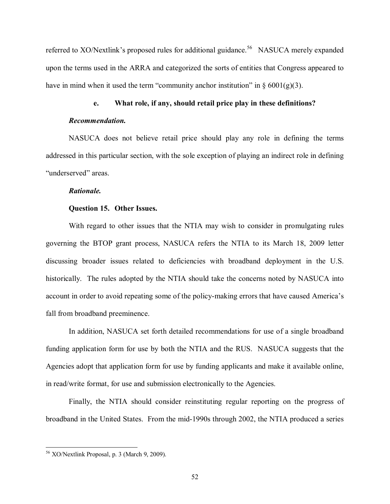referred to XO/Nextlink's proposed rules for additional guidance.<sup>56</sup> NASUCA merely expanded upon the terms used in the ARRA and categorized the sorts of entities that Congress appeared to have in mind when it used the term "community anchor institution" in  $\S 6001(g)(3)$ .

## **e. What role, if any, should retail price play in these definitions?**

#### *Recommendation.*

NASUCA does not believe retail price should play any role in defining the terms addressed in this particular section, with the sole exception of playing an indirect role in defining "underserved" areas.

#### *Rationale.*

#### **Question 15. Other Issues.**

With regard to other issues that the NTIA may wish to consider in promulgating rules governing the BTOP grant process, NASUCA refers the NTIA to its March 18, 2009 letter discussing broader issues related to deficiencies with broadband deployment in the U.S. historically. The rules adopted by the NTIA should take the concerns noted by NASUCA into account in order to avoid repeating some of the policy-making errors that have caused America's fall from broadband preeminence.

In addition, NASUCA set forth detailed recommendations for use of a single broadband funding application form for use by both the NTIA and the RUS. NASUCA suggests that the Agencies adopt that application form for use by funding applicants and make it available online, in read/write format, for use and submission electronically to the Agencies.

Finally, the NTIA should consider reinstituting regular reporting on the progress of broadband in the United States. From the mid-1990s through 2002, the NTIA produced a series

 $\overline{a}$ 

<sup>56</sup> XO/Nextlink Proposal, p. 3 (March 9, 2009).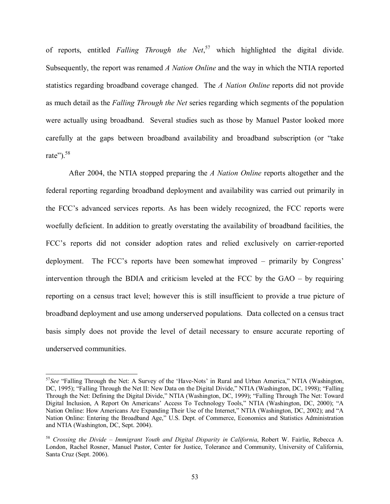of reports, entitled *Falling Through the Net*, 57 which highlighted the digital divide. Subsequently, the report was renamed *A Nation Online* and the way in which the NTIA reported statistics regarding broadband coverage changed. The *A Nation Online* reports did not provide as much detail as the *Falling Through the Net* series regarding which segments of the population were actually using broadband. Several studies such as those by Manuel Pastor looked more carefully at the gaps between broadband availability and broadband subscription (or "take") rate"). $58$ 

After 2004, the NTIA stopped preparing the *A Nation Online* reports altogether and the federal reporting regarding broadband deployment and availability was carried out primarily in the FCC's advanced services reports. As has been widely recognized, the FCC reports were woefully deficient. In addition to greatly overstating the availability of broadband facilities, the FCC's reports did not consider adoption rates and relied exclusively on carrier-reported deployment. The FCC's reports have been somewhat improved  $-$  primarily by Congress' intervention through the BDIA and criticism leveled at the FCC by the  $GAO - by$  requiring reporting on a census tract level; however this is still insufficient to provide a true picture of broadband deployment and use among underserved populations. Data collected on a census tract basis simply does not provide the level of detail necessary to ensure accurate reporting of underserved communities.

l

<sup>&</sup>lt;sup>57</sup>See "Falling Through the Net: A Survey of the 'Have-Nots' in Rural and Urban America," NTIA (Washington, DC, 1995); "Falling Through the Net II: New Data on the Digital Divide," NTIA (Washington, DC, 1998); "Falling Through the Net: Defining the Digital Divide," NTIA (Washington, DC, 1999); "Falling Through The Net: Toward Digital Inclusion, A Report On Americans' Access To Technology Tools," NTIA (Washington, DC, 2000); "A Nation Online: How Americans Are Expanding Their Use of the Internet," NTIA (Washington, DC, 2002); and "A Nation Online: Entering the Broadband Age," U.S. Dept. of Commerce, Economics and Statistics Administration and NTIA (Washington, DC, Sept. 2004).

<sup>&</sup>lt;sup>58</sup> Crossing the Divide – Immigrant Youth and Digital Disparity in California, Robert W. Fairlie, Rebecca A. London, Rachel Rosner, Manuel Pastor, Center for Justice, Tolerance and Community, University of California, Santa Cruz (Sept. 2006).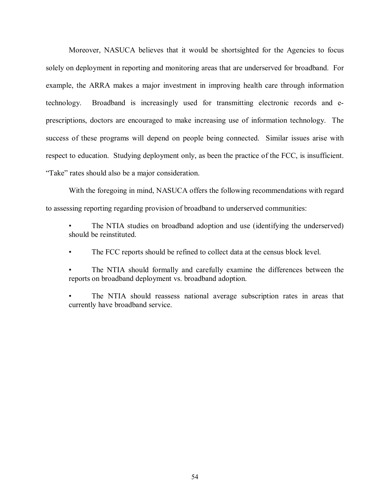Moreover, NASUCA believes that it would be shortsighted for the Agencies to focus solely on deployment in reporting and monitoring areas that are underserved for broadband. For example, the ARRA makes a major investment in improving health care through information technology. Broadband is increasingly used for transmitting electronic records and eprescriptions, doctors are encouraged to make increasing use of information technology. The success of these programs will depend on people being connected. Similar issues arise with respect to education. Studying deployment only, as been the practice of the FCC, is insufficient. "Take" rates should also be a major consideration.

With the foregoing in mind, NASUCA offers the following recommendations with regard to assessing reporting regarding provision of broadband to underserved communities:

The NTIA studies on broadband adoption and use (identifying the underserved) should be reinstituted.

The FCC reports should be refined to collect data at the census block level.

The NTIA should formally and carefully examine the differences between the reports on broadband deployment vs. broadband adoption.

The NTIA should reassess national average subscription rates in areas that currently have broadband service.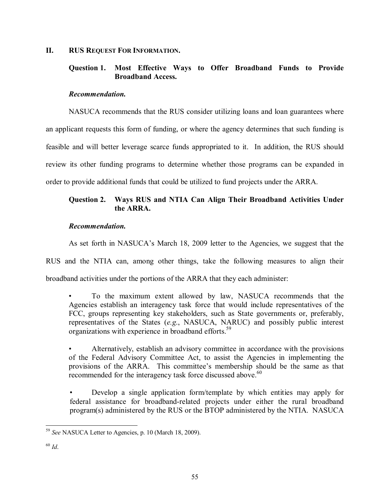### **II. RUS REQUEST FOR INFORMATION.**

## **Question 1. Most Effective Ways to Offer Broadband Funds to Provide Broadband Access.**

### *Recommendation.*

NASUCA recommends that the RUS consider utilizing loans and loan guarantees where an applicant requests this form of funding, or where the agency determines that such funding is feasible and will better leverage scarce funds appropriated to it. In addition, the RUS should review its other funding programs to determine whether those programs can be expanded in order to provide additional funds that could be utilized to fund projects under the ARRA.

## **Question 2. Ways RUS and NTIA Can Align Their Broadband Activities Under the ARRA.**

## *Recommendation.*

As set forth in NASUCA's March 18, 2009 letter to the Agencies, we suggest that the

RUS and the NTIA can, among other things, take the following measures to align their broadband activities under the portions of the ARRA that they each administer:

To the maximum extent allowed by law, NASUCA recommends that the Agencies establish an interagency task force that would include representatives of the FCC, groups representing key stakeholders, such as State governments or, preferably, representatives of the States (*e.g*., NASUCA, NARUC) and possibly public interest organizations with experience in broadband efforts.<sup>59</sup>

Alternatively, establish an advisory committee in accordance with the provisions of the Federal Advisory Committee Act, to assist the Agencies in implementing the provisions of the ARRA. This committee's membership should be the same as that recommended for the interagency task force discussed above.<sup>60</sup>

Develop a single application form/template by which entities may apply for federal assistance for broadband-related projects under either the rural broadband program(s) administered by the RUS or the BTOP administered by the NTIA. NASUCA

l <sup>59</sup> *See* NASUCA Letter to Agencies, p. 10 (March 18, 2009).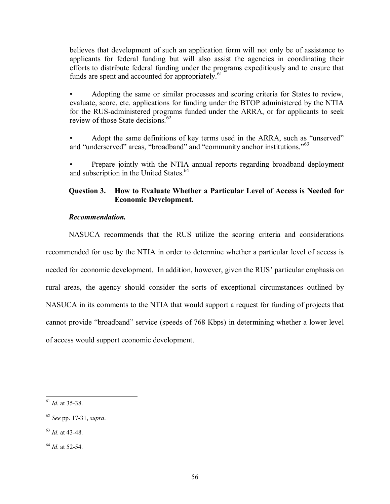believes that development of such an application form will not only be of assistance to applicants for federal funding but will also assist the agencies in coordinating their efforts to distribute federal funding under the programs expeditiously and to ensure that funds are spent and accounted for appropriately. $61$ 

Adopting the same or similar processes and scoring criteria for States to review, evaluate, score, etc. applications for funding under the BTOP administered by the NTIA for the RUS-administered programs funded under the ARRA, or for applicants to seek review of those State decisions.<sup>62</sup>

Adopt the same definitions of key terms used in the ARRA, such as "unserved" and "underserved" areas, "broadband" and "community anchor institutions."<sup>63</sup>

Prepare jointly with the NTIA annual reports regarding broadband deployment and subscription in the United States.<sup>64</sup>

## **Question 3. How to Evaluate Whether a Particular Level of Access is Needed for Economic Development.**

## *Recommendation.*

 NASUCA recommends that the RUS utilize the scoring criteria and considerations recommended for use by the NTIA in order to determine whether a particular level of access is needed for economic development. In addition, however, given the RUS' particular emphasis on rural areas, the agency should consider the sorts of exceptional circumstances outlined by NASUCA in its comments to the NTIA that would support a request for funding of projects that cannot provide "broadband" service (speeds of 768 Kbps) in determining whether a lower level of access would support economic development.

l <sup>61</sup> *Id*. at 35-38.

<sup>62</sup> *See* pp. 17-31, *supra*.

<sup>63</sup> *Id*. at 43-48.

<sup>64</sup> *Id*. at 52-54.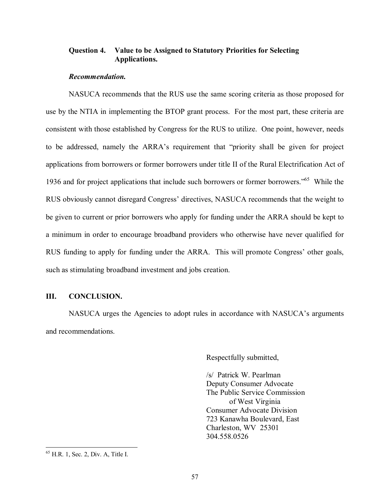### **Question 4. Value to be Assigned to Statutory Priorities for Selecting Applications.**

#### *Recommendation.*

NASUCA recommends that the RUS use the same scoring criteria as those proposed for use by the NTIA in implementing the BTOP grant process. For the most part, these criteria are consistent with those established by Congress for the RUS to utilize. One point, however, needs to be addressed, namely the ARRA's requirement that "priority shall be given for project applications from borrowers or former borrowers under title II of the Rural Electrification Act of 1936 and for project applications that include such borrowers or former borrowers.<sup> $56$ </sup> While the RUS obviously cannot disregard Congress' directives, NASUCA recommends that the weight to be given to current or prior borrowers who apply for funding under the ARRA should be kept to a minimum in order to encourage broadband providers who otherwise have never qualified for RUS funding to apply for funding under the ARRA. This will promote Congress' other goals, such as stimulating broadband investment and jobs creation.

#### **III. CONCLUSION.**

NASUCA urges the Agencies to adopt rules in accordance with NASUCA's arguments and recommendations.

Respectfully submitted,

 /s/ Patrick W. Pearlman Deputy Consumer Advocate The Public Service Commission of West Virginia Consumer Advocate Division 723 Kanawha Boulevard, East Charleston, WV 25301 304.558.0526

 $\overline{a}$ 

 $<sup>65</sup>$  H.R. 1, Sec. 2, Div. A, Title I.</sup>